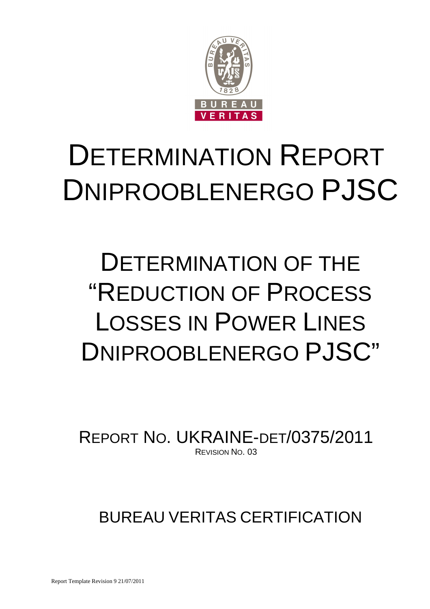

# DETERMINATION REPORT DNIPROOBLENERGO PJSC

# DETERMINATION OF THE "REDUCTION OF PROCESS LOSSES IN POWER LINES DNIPROOBLENERGO PJSC"

REPORT NO. UKRAINE-DET/0375/2011 REVISION NO. 03

## BUREAU VERITAS CERTIFICATION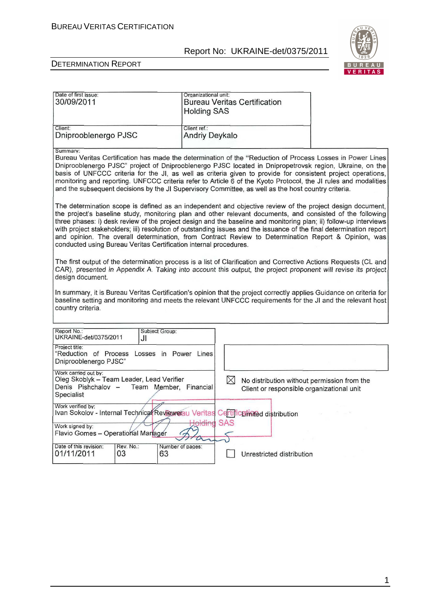

| Date of first issue:<br>30/09/2011                                                                                                                              | Organizational unit:<br><b>Bureau Veritas Certification</b><br><b>Holding SAS</b>                                                                                                                                                                                                                                                                                                                                                                                                                                                                                          |
|-----------------------------------------------------------------------------------------------------------------------------------------------------------------|----------------------------------------------------------------------------------------------------------------------------------------------------------------------------------------------------------------------------------------------------------------------------------------------------------------------------------------------------------------------------------------------------------------------------------------------------------------------------------------------------------------------------------------------------------------------------|
| Client:<br>Dniprooblenergo PJSC                                                                                                                                 | Client ref.:<br><b>Andriy Deykalo</b>                                                                                                                                                                                                                                                                                                                                                                                                                                                                                                                                      |
| Summary:                                                                                                                                                        | Bureau Veritas Certification has made the determination of the "Reduction of Process Losses in Power Lines<br>Dniprooblenergo PJSC" project of Dniprooblenergo PJSC located in Dnipropetrovsk region, Ukraine, on the<br>basis of UNFCCC criteria for the JI, as well as criteria given to provide for consistent project operations,<br>monitoring and reporting. UNFCCC criteria refer to Article 6 of the Kyoto Protocol, the JI rules and modalities<br>and the subsequent decisions by the JI Supervisory Committee, as well as the host country criteria.            |
| conducted using Bureau Veritas Certification internal procedures.                                                                                               | The determination scope is defined as an independent and objective review of the project design document,<br>the project's baseline study, monitoring plan and other relevant documents, and consisted of the following<br>three phases: i) desk review of the project design and the baseline and monitoring plan; ii) follow-up interviews<br>with project stakeholders; iii) resolution of outstanding issues and the issuance of the final determination report<br>and opinion. The overall determination, from Contract Review to Determination Report & Opinion, was |
| design document.                                                                                                                                                | The first output of the determination process is a list of Clarification and Corrective Actions Requests (CL and<br>CAR), presented in Appendix A. Taking into account this output, the project proponent will revise its project                                                                                                                                                                                                                                                                                                                                          |
| country criteria.                                                                                                                                               | In summary, it is Bureau Veritas Certification's opinion that the project correctly applies Guidance on criteria for<br>baseline setting and monitoring and meets the relevant UNFCCC requirements for the JI and the relevant host                                                                                                                                                                                                                                                                                                                                        |
| Report No.:<br>Subject Group:<br>UKRAINE-det/0375/2011<br>JI                                                                                                    |                                                                                                                                                                                                                                                                                                                                                                                                                                                                                                                                                                            |
| Project title:<br>"Reduction of Process Losses in Power Lines<br>Dniprooblenergo PJSC"                                                                          |                                                                                                                                                                                                                                                                                                                                                                                                                                                                                                                                                                            |
| Work carried out by:<br>Oleg Skoblyk - Team Leader, Lead Verifier<br>Denis Pishchalov -<br>Team Member, Financial<br>Specialist                                 | ⊠<br>No distribution without permission from the<br>Client or responsible organizational unit                                                                                                                                                                                                                                                                                                                                                                                                                                                                              |
| Work verified by:<br>Ivan Sokolov - Internal Technical Reviewerau Veritas Certificationed distribution<br>Work signed by:<br>Flavio Gomes - Operational Manager | <b>SAS</b>                                                                                                                                                                                                                                                                                                                                                                                                                                                                                                                                                                 |
| Date of this revision:<br>Rev. No.:<br>01/11/2011<br>03<br>63                                                                                                   | Number of pages:<br>Unrestricted distribution                                                                                                                                                                                                                                                                                                                                                                                                                                                                                                                              |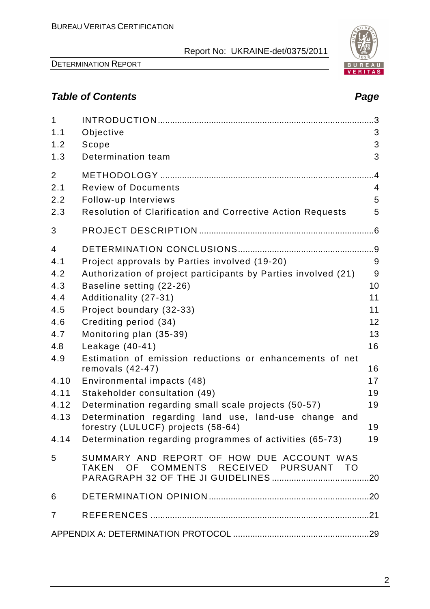

## **Table of Contents Page 2018**

| $\mathbf{1}$   |                                                                                     |    |
|----------------|-------------------------------------------------------------------------------------|----|
| 1.1            | Objective                                                                           | 3  |
| 1.2            | Scope                                                                               | 3  |
| 1.3            | Determination team                                                                  | 3  |
| 2              |                                                                                     | .4 |
| 2.1            | <b>Review of Documents</b>                                                          | 4  |
| 2.2            | Follow-up Interviews                                                                | 5  |
| 2.3            | <b>Resolution of Clarification and Corrective Action Requests</b>                   | 5  |
| 3              |                                                                                     |    |
| $\overline{4}$ |                                                                                     |    |
| 4.1            | Project approvals by Parties involved (19-20)                                       | 9  |
| 4.2            | Authorization of project participants by Parties involved (21)                      | 9  |
| 4.3            | Baseline setting (22-26)                                                            | 10 |
| 4.4            | Additionality (27-31)                                                               | 11 |
| 4.5            | Project boundary (32-33)                                                            | 11 |
| 4.6            | Crediting period (34)                                                               | 12 |
| 4.7            | Monitoring plan (35-39)                                                             | 13 |
| 4.8            | Leakage $(40-41)$                                                                   | 16 |
| 4.9            | Estimation of emission reductions or enhancements of net<br>removals $(42-47)$      | 16 |
| 4.10           | Environmental impacts (48)                                                          | 17 |
| 4.11           | Stakeholder consultation (49)                                                       | 19 |
| 4.12           | Determination regarding small scale projects (50-57)                                | 19 |
| 4.13           | Determination regarding land use, land-use change and                               |    |
|                | forestry (LULUCF) projects (58-64)                                                  | 19 |
|                | 4.14 Determination regarding programmes of activities (65-73)                       | 19 |
| 5              | SUMMARY AND REPORT OF HOW DUE ACCOUNT WAS<br>TAKEN OF COMMENTS RECEIVED PURSUANT TO |    |
| 6              |                                                                                     |    |
|                |                                                                                     |    |
| $\overline{7}$ |                                                                                     |    |
|                |                                                                                     |    |

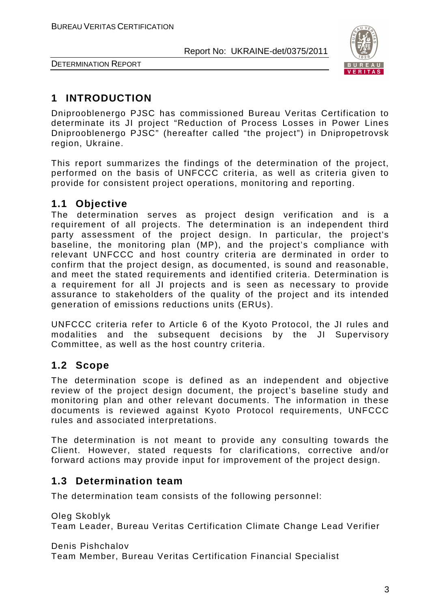

DETERMINATION REPORT

## **1 INTRODUCTION**

Dniprooblenergo PJSC has commissioned Bureau Veritas Certification to determinate its JI project "Reduction of Process Losses in Power Lines Dniprooblenergo PJSC" (hereafter called "the project") in Dnipropetrovsk region, Ukraine.

This report summarizes the findings of the determination of the project, performed on the basis of UNFCCC criteria, as well as criteria given to provide for consistent project operations, monitoring and reporting.

#### **1.1 Objective**

The determination serves as project design verification and is a requirement of all projects. The determination is an independent third party assessment of the project design. In particular, the project's baseline, the monitoring plan (MP), and the project's compliance with relevant UNFCCC and host country criteria are derminated in order to confirm that the project design, as documented, is sound and reasonable, and meet the stated requirements and identified criteria. Determination is a requirement for all JI projects and is seen as necessary to provide assurance to stakeholders of the quality of the project and its intended generation of emissions reductions units (ERUs).

UNFCCC criteria refer to Article 6 of the Kyoto Protocol, the JI rules and modalities and the subsequent decisions by the JI Supervisory Committee, as well as the host country criteria.

#### **1.2 Scope**

The determination scope is defined as an independent and objective review of the project design document, the project's baseline study and monitoring plan and other relevant documents. The information in these documents is reviewed against Kyoto Protocol requirements, UNFCCC rules and associated interpretations.

The determination is not meant to provide any consulting towards the Client. However, stated requests for clarifications, corrective and/or forward actions may provide input for improvement of the project design.

#### **1.3 Determination team**

The determination team consists of the following personnel:

Oleg Skoblyk Team Leader, Bureau Veritas Certification Climate Change Lead Verifier

Denis Pishchalov Team Member, Bureau Veritas Certification Financial Specialist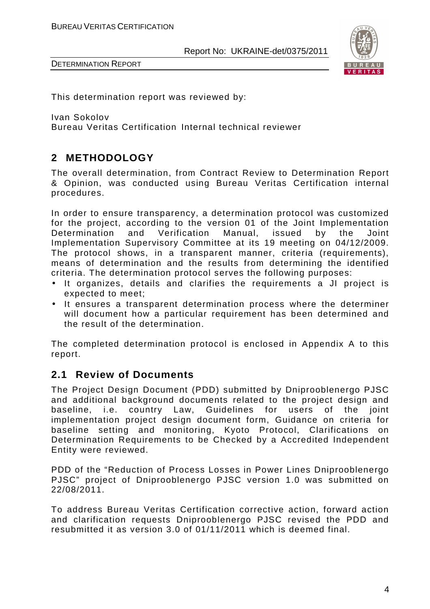

This determination report was reviewed by:

Ivan Sokolov

Bureau Veritas Certification Internal technical reviewer

## **2 METHODOLOGY**

The overall determination, from Contract Review to Determination Report & Opinion, was conducted using Bureau Veritas Certification internal procedures.

In order to ensure transparency, a determination protocol was customized for the project, according to the version 01 of the Joint Implementation Determination and Verification Manual, issued by the Joint Implementation Supervisory Committee at its 19 meeting on 04/12/2009. The protocol shows, in a transparent manner, criteria (requirements), means of determination and the results from determining the identified criteria. The determination protocol serves the following purposes:

- It organizes, details and clarifies the requirements a JI project is expected to meet;
- It ensures a transparent determination process where the determiner will document how a particular requirement has been determined and the result of the determination.

The completed determination protocol is enclosed in Appendix A to this report.

#### **2.1 Review of Documents**

The Project Design Document (PDD) submitted by Dniprooblenergo PJSC and additional background documents related to the project design and baseline, i.e. country Law, Guidelines for users of the joint implementation project design document form, Guidance on criteria for baseline setting and monitoring, Kyoto Protocol, Clarifications on Determination Requirements to be Checked by a Accredited Independent Entity were reviewed.

PDD of the "Reduction of Process Losses in Power Lines Dniprooblenergo PJSC" project of Dniprooblenergo PJSC version 1.0 was submitted on 22/08/2011.

To address Bureau Veritas Certification corrective action, forward action and clarification requests Dniprooblenergo PJSC revised the PDD and resubmitted it as version 3.0 of 01/11/2011 which is deemed final.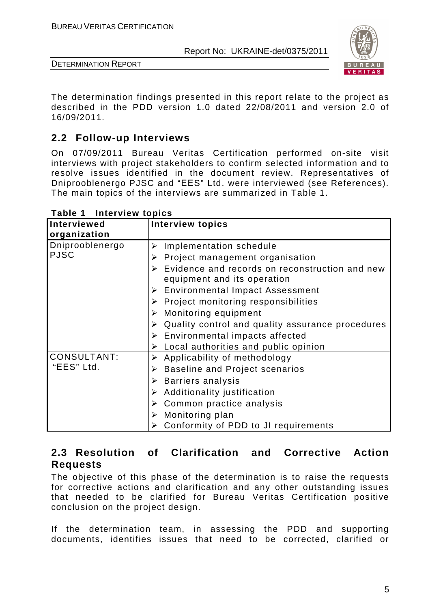

DETERMINATION REPORT

The determination findings presented in this report relate to the project as described in the PDD version 1.0 dated 22/08/2011 and version 2.0 of 16/09/2011.

## **2.2 Follow-up Interviews**

On 07/09/2011 Bureau Veritas Certification performed on-site visit interviews with project stakeholders to confirm selected information and to resolve issues identified in the document review. Representatives of Dniprooblenergo PJSC and "ЕЕS" Ltd. were interviewed (see References). The main topics of the interviews are summarized in Table 1.

| Interviewed<br>organization | <b>Interview topics</b>                                                                        |
|-----------------------------|------------------------------------------------------------------------------------------------|
| Dniprooblenergo             | Implementation schedule<br>➤                                                                   |
| <b>PJSC</b>                 | Project management organisation                                                                |
|                             | $\triangleright$ Evidence and records on reconstruction and new<br>equipment and its operation |
|                             | <b>Environmental Impact Assessment</b><br>➤                                                    |
|                             | $\triangleright$ Project monitoring responsibilities                                           |
|                             | Monitoring equipment                                                                           |
|                             | Quality control and quality assurance procedures                                               |
|                             | $\triangleright$ Environmental impacts affected                                                |
|                             | $\triangleright$ Local authorities and public opinion                                          |
| <b>CONSULTANT:</b>          | $\triangleright$ Applicability of methodology                                                  |
| "EES" Ltd.                  | $\triangleright$ Baseline and Project scenarios                                                |
|                             | $\triangleright$ Barriers analysis                                                             |
|                             | $\triangleright$ Additionality justification                                                   |
|                             | $\triangleright$ Common practice analysis                                                      |
|                             | Monitoring plan                                                                                |
|                             | Conformity of PDD to JI requirements<br>➤                                                      |

**Table 1 Interview topics** 

#### **2.3 Resolution of Clarification and Corrective Action Requests**

The objective of this phase of the determination is to raise the requests for corrective actions and clarification and any other outstanding issues that needed to be clarified for Bureau Veritas Certification positive conclusion on the project design.

If the determination team, in assessing the PDD and supporting documents, identifies issues that need to be corrected, clarified or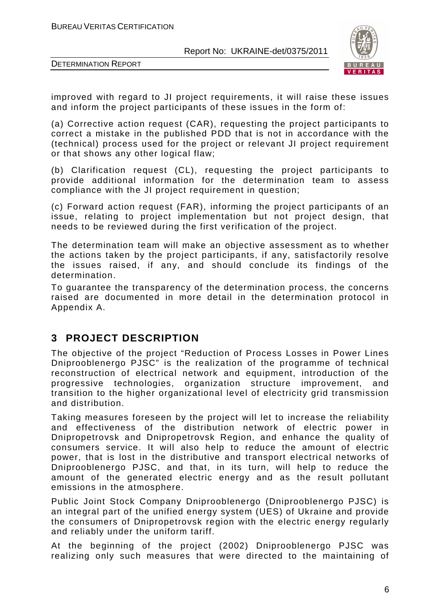

DETERMINATION REPORT

improved with regard to JI project requirements, it will raise these issues and inform the project participants of these issues in the form of:

(a) Corrective action request (CAR), requesting the project participants to correct a mistake in the published PDD that is not in accordance with the (technical) process used for the project or relevant JI project requirement or that shows any other logical flaw;

(b) Clarification request (CL), requesting the project participants to provide additional information for the determination team to assess compliance with the JI project requirement in question;

(c) Forward action request (FAR), informing the project participants of an issue, relating to project implementation but not project design, that needs to be reviewed during the first verification of the project.

The determination team will make an objective assessment as to whether the actions taken by the project participants, if any, satisfactorily resolve the issues raised, if any, and should conclude its findings of the determination.

To guarantee the transparency of the determination process, the concerns raised are documented in more detail in the determination protocol in Appendix A.

#### **3 PROJECT DESCRIPTION**

The objective of the project "Reduction of Process Losses in Power Lines Dniprooblenergo PJSC" is the realization of the programme of technical reconstruction of electrical network and equipment, introduction of the progressive technologies, organization structure improvement, and transition to the higher organizational level of electricity grid transmission and distribution.

Taking measures foreseen by the project will let to increase the reliability and effectiveness of the distribution network of electric power in Dnipropetrovsk and Dnipropetrovsk Region, and enhance the quality of consumers service. It will also help to reduce the amount of electric power, that is lost in the distributive and transport electrical networks of Dniprooblenergo PJSC, and that, in its turn, will help to reduce the amount of the generated electric energy and as the result pollutant emissions in the atmosphere.

Public Joint Stock Company Dniprooblenergo (Dniprooblenergo PJSC) is an integral part of the unified energy system (UES) of Ukraine and provide the consumers of Dnipropetrovsk region with the electric energy regularly and reliably under the uniform tariff.

At the beginning of the project (2002) Dniprooblenergo PJSC was realizing only such measures that were directed to the maintaining of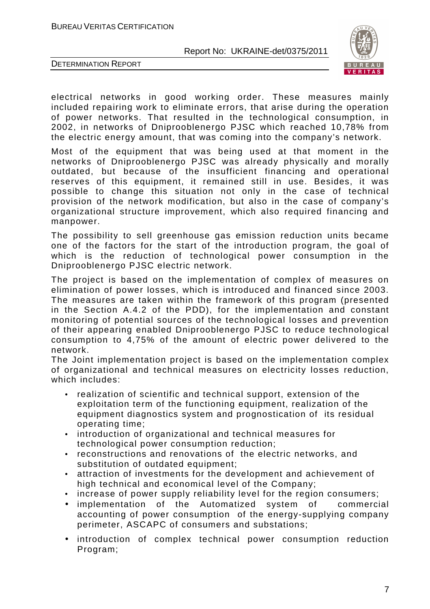

DETERMINATION REPORT

electrical networks in good working order. These measures mainly included repairing work to eliminate errors, that arise during the operation of power networks. That resulted in the technological consumption, in 2002, in networks of Dniprooblenergo PJSC which reached 10,78% from the electric energy amount, that was coming into the company's network.

Most of the equipment that was being used at that moment in the networks of Dniprooblenergo PJSC was already physically and morally outdated, but because of the insufficient financing and operational reserves of this equipment, it remained still in use. Besides, it was possible to change this situation not only in the case of technical provision of the network modification, but also in the case of company's organizational structure improvement, which also required financing and manpower.

The possibility to sell greenhouse gas emission reduction units became one of the factors for the start of the introduction program, the goal of which is the reduction of technological power consumption in the Dniprooblenergo PJSC electric network.

The project is based on the implementation of complex of measures on elimination of power losses, which is introduced and financed since 2003. The measures are taken within the framework of this program (presented in the Section A.4.2 of the PDD), for the implementation and constant monitoring of potential sources of the technological losses and prevention of their appearing enabled Dniprooblenergo PJSC to reduce technological consumption to 4,75% of the amount of electric power delivered to the network.

The Joint implementation project is based on the implementation complex of organizational and technical measures on electricity losses reduction, which includes:

- realization of scientific and technical support, extension of the exploitation term of the functioning equipment, realization of the equipment diagnostics system and prognostication of its residual operating time;
- introduction of organizational and technical measures for technological power consumption reduction;
- reconstructions and renovations of the electric networks, and substitution of outdated equipment;
- attraction of investments for the development and achievement of high technical and economical level of the Company;
- increase of power supply reliability level for the region consumers;
- implementation of the Automatized system of commercial accounting of power consumption of the energy-supplying company perimeter, ASCAPC of consumers and substations;
- introduction of complex technical power consumption reduction Program;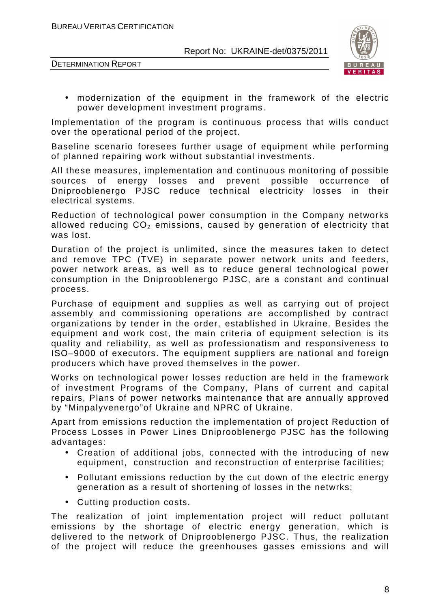



• modernization of the equipment in the framework of the electric power development investment programs.

Implementation of the program is continuous process that wills conduct over the operational period of the project.

Baseline scenario foresees further usage of equipment while performing of planned repairing work without substantial investments.

All these measures, implementation and continuous monitoring of possible sources of energy losses and prevent possible occurrence of Dniprooblenergo PJSC reduce technical electricity losses in their electrical systems.

Reduction of technological power consumption in the Company networks allowed reducing  $CO<sub>2</sub>$  emissions, caused by generation of electricity that was lost.

Duration of the project is unlimited, since the measures taken to detect and remove TPC (ТVE) in separate power network units and feeders, power network areas, as well as to reduce general technological power consumption in the Dniprooblenergo PJSC, are a constant and continual process.

Purchase of equipment and supplies as well as carrying out of project assembly and commissioning operations are accomplished by contract organizations by tender in the order, established in Ukraine. Besides the equipment and work cost, the main criteria of equipment selection is its quality and reliability, as well as professionatism and responsiveness to ISO–9000 of executors. The equipment suppliers are national and foreign producers which have proved themselves in the power.

Works on technological power losses reduction are held in the framework of investment Programs of the Company, Plans of current and capital repairs, Plans of power networks maintenance that are annually approved by "Minpalyvenergo"of Ukraine and NPRC of Ukraine.

Apart from emissions reduction the implementation of project Reduction of Process Losses in Power Lines Dniprooblenergo PJSC has the following advantages:

- Creation of additional jobs, connected with the introducing of new equipment, construction and reconstruction of enterprise facilities;
- Pollutant emissions reduction by the cut down of the electric energy generation as a result of shortening of losses in the netwrks;
- Cutting production costs.

The realization of joint implementation project will reduct pollutant emissions by the shortage of electric energy generation, which is delivered to the network of Dniprooblenergo PJSC. Thus, the realization of the project will reduce the greenhouses gasses emissions and will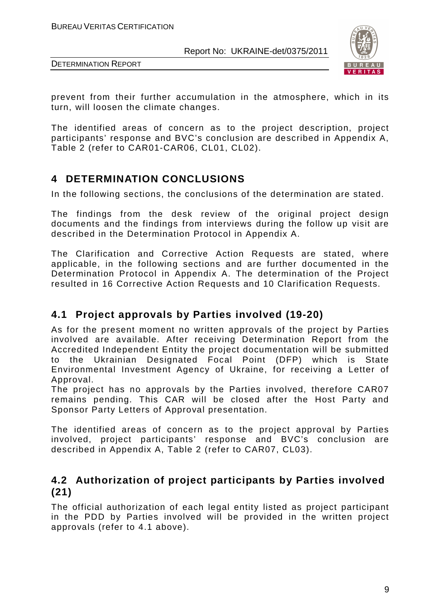



prevent from their further accumulation in the atmosphere, which in its turn, will loosen the climate changes.

The identified areas of concern as to the project description, project participants' response and BVC's conclusion are described in Appendix A, Table 2 (refer to CAR01-CAR06, CL01, CL02).

## **4 DETERMINATION CONCLUSIONS**

In the following sections, the conclusions of the determination are stated.

The findings from the desk review of the original project design documents and the findings from interviews during the follow up visit are described in the Determination Protocol in Appendix A.

The Clarification and Corrective Action Requests are stated, where applicable, in the following sections and are further documented in the Determination Protocol in Appendix A. The determination of the Project resulted in 16 Corrective Action Requests and 10 Clarification Requests.

#### **4.1 Project approvals by Parties involved (19-20)**

As for the present moment no written approvals of the project by Parties involved are available. After receiving Determination Report from the Accredited Independent Entity the project documentation will be submitted to the Ukrainian Designated Focal Point (DFP) which is State Environmental Investment Agency of Ukraine, for receiving a Letter of Approval.

The project has no approvals by the Parties involved, therefore CAR07 remains pending. This CAR will be closed after the Host Party and Sponsor Party Letters of Approval presentation.

The identified areas of concern as to the project approval by Parties involved, project participants' response and BVC's conclusion are described in Appendix A, Table 2 (refer to CAR07, CL03).

#### **4.2 Authorization of project participants by Parties involved (21)**

The official authorization of each legal entity listed as project participant in the PDD by Parties involved will be provided in the written project approvals (refer to 4.1 above).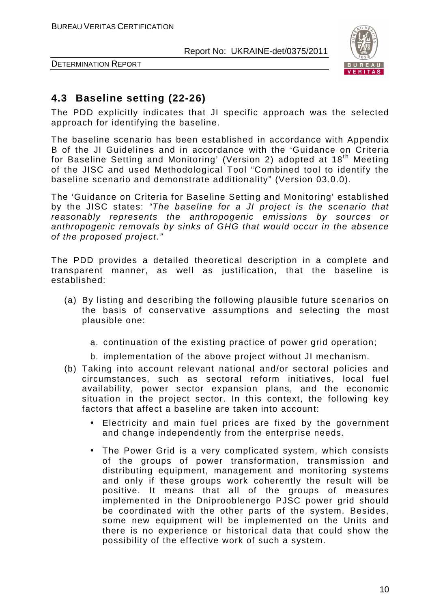

DETERMINATION REPORT

#### **4.3 Baseline setting (22-26)**

The PDD explicitly indicates that JI specific approach was the selected approach for identifying the baseline.

The baseline scenario has been established in accordance with Appendix B of the JI Guidelines and in accordance with the 'Guidance on Criteria for Baseline Setting and Monitoring' (Version 2) adopted at 18<sup>th</sup> Meeting of the JISC and used Methodological Tool "Combined tool to identify the baseline scenario and demonstrate additionality" (Version 03.0.0).

The 'Guidance on Criteria for Baseline Setting and Monitoring' established by the JISC states: "The baseline for a JI project is the scenario that reasonably represents the anthropogenic emissions by sources or anthropogenic removals by sinks of GHG that would occur in the absence of the proposed project."

The PDD provides a detailed theoretical description in a complete and transparent manner, as well as justification, that the baseline is established:

- (a) By listing and describing the following plausible future scenarios on the basis of conservative assumptions and selecting the most plausible one:
	- a. continuation of the existing practice of power grid operation;
	- b. implementation of the above project without JI mechanism.
- (b) Taking into account relevant national and/or sectoral policies and circumstances, such as sectoral reform initiatives, local fuel availability, power sector expansion plans, and the economic situation in the project sector. In this context, the following key factors that affect a baseline are taken into account:
	- Electricity and main fuel prices are fixed by the government and change independently from the enterprise needs.
	- The Power Grid is a very complicated system, which consists of the groups of power transformation, transmission and distributing equipment, management and monitoring systems and only if these groups work coherently the result will be positive. It means that all of the groups of measures implemented in the Dniprooblenergo PJSC power grid should be coordinated with the other parts of the system. Besides, some new equipment will be implemented on the Units and there is no experience or historical data that could show the possibility of the effective work of such a system.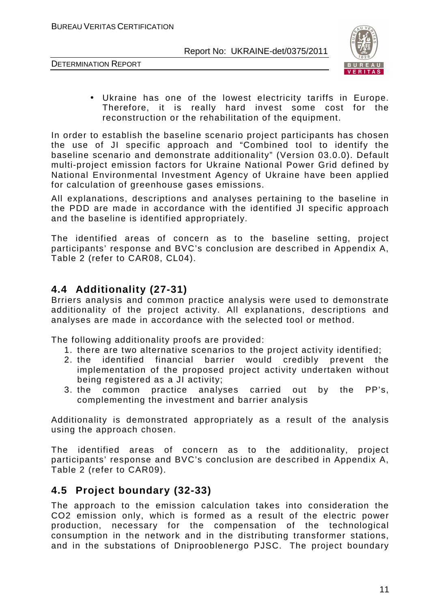DETERMINATION REPORT



• Ukraine has one of the lowest electricity tariffs in Europe. Therefore, it is really hard invest some cost for the reconstruction or the rehabilitation of the equipment.

In order to establish the baseline scenario project participants has chosen the use of JI specific approach and "Combined tool to identify the baseline scenario and demonstrate additionality" (Version 03.0.0). Default multi-project emission factors for Ukraine National Power Grid defined by National Environmental Investment Agency of Ukraine have been applied for calculation of greenhouse gases emissions.

All explanations, descriptions and analyses pertaining to the baseline in the PDD are made in accordance with the identified JI specific approach and the baseline is identified appropriately.

The identified areas of concern as to the baseline setting, project participants' response and BVC's conclusion are described in Appendix A, Table 2 (refer to CAR08, CL04).

#### **4.4 Additionality (27-31)**

Brriers analysis and common practice analysis were used to demonstrate additionality of the project activity. All explanations, descriptions and analyses are made in accordance with the selected tool or method.

The following additionality proofs are provided:

- 1. there are two alternative scenarios to the project activity identified;
- 2. the identified financial barrier would credibly prevent the implementation of the proposed project activity undertaken without being registered as a JI activity;
- 3. the common practice analyses carried out by the PP's, complementing the investment and barrier analysis

Additionality is demonstrated appropriately as a result of the analysis using the approach chosen.

The identified areas of concern as to the additionality, project participants' response and BVC's conclusion are described in Appendix A, Table 2 (refer to CAR09).

#### **4.5 Project boundary (32-33)**

The approach to the emission calculation takes into consideration the CO2 emission only, which is formed as a result of the electric power production, necessary for the compensation of the technological consumption in the network and in the distributing transformer stations, and in the substations of Dniprooblenergo PJSC. The project boundary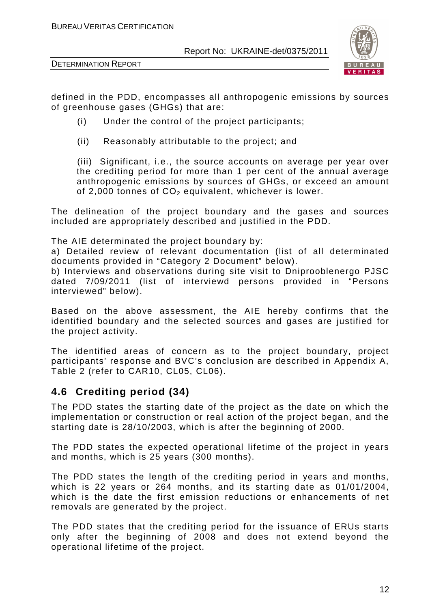



defined in the PDD, encompasses all anthropogenic emissions by sources of greenhouse gases (GHGs) that are:

- (i) Under the control of the project participants;
- (ii) Reasonably attributable to the project; and

(iii) Significant, i.e., the source accounts on average per year over the crediting period for more than 1 per cent of the annual average anthropogenic emissions by sources of GHGs, or exceed an amount of 2,000 tonnes of  $CO<sub>2</sub>$  equivalent, whichever is lower.

The delineation of the project boundary and the gases and sources included are appropriately described and justified in the PDD.

The AIE determinated the project boundary by:

a) Detailed review of relevant documentation (list of all determinated documents provided in "Category 2 Document" below).

b) Interviews and observations during site visit to Dniprooblenergo PJSC dated 7/09/2011 (list of interviewd persons provided in "Persons interviewed" below).

Based on the above assessment, the AIE hereby confirms that the identified boundary and the selected sources and gases are justified for the project activity.

The identified areas of concern as to the project boundary, project participants' response and BVC's conclusion are described in Appendix A, Table 2 (refer to CAR10, CL05, CL06).

#### **4.6 Crediting period (34)**

The PDD states the starting date of the project as the date on which the implementation or construction or real action of the project began, and the starting date is 28/10/2003, which is after the beginning of 2000.

The PDD states the expected operational lifetime of the project in years and months, which is 25 years (300 months).

The PDD states the length of the crediting period in years and months, which is 22 years or 264 months, and its starting date as 01/01/2004. which is the date the first emission reductions or enhancements of net removals are generated by the project.

The PDD states that the crediting period for the issuance of ERUs starts only after the beginning of 2008 and does not extend beyond the operational lifetime of the project.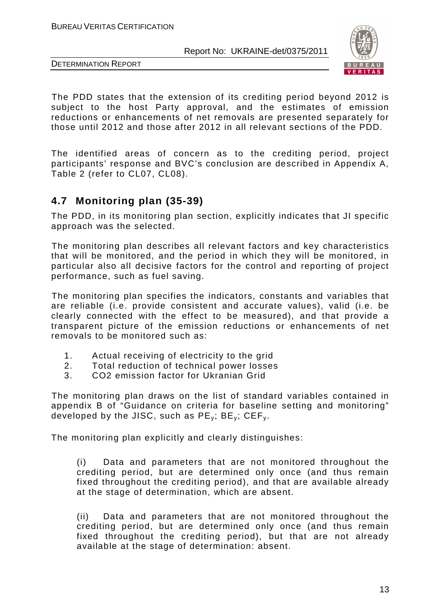



DETERMINATION REPORT

The PDD states that the extension of its crediting period beyond 2012 is subject to the host Party approval, and the estimates of emission reductions or enhancements of net removals are presented separately for those until 2012 and those after 2012 in all relevant sections of the PDD.

The identified areas of concern as to the crediting period, project participants' response and BVC's conclusion are described in Appendix A, Table 2 (refer to CL07, CL08).

## **4.7 Monitoring plan (35-39)**

The PDD, in its monitoring plan section, explicitly indicates that JI specific approach was the selected.

The monitoring plan describes all relevant factors and key characteristics that will be monitored, and the period in which they will be monitored, in particular also all decisive factors for the control and reporting of project performance, such as fuel saving.

The monitoring plan specifies the indicators, constants and variables that are reliable (i.e. provide consistent and accurate values), valid (i.e. be clearly connected with the effect to be measured), and that provide a transparent picture of the emission reductions or enhancements of net removals to be monitored such as:

- 1. Actual receiving of electricity to the grid
- 2. Total reduction of technical power losses
- 3. CO2 emission factor for Ukranian Grid

The monitoring plan draws on the list of standard variables contained in appendix B of "Guidance on criteria for baseline setting and monitoring" developed by the JISC, such as  $PE_v$ ;  $BE_v$ ;  $CEF_v$ .

The monitoring plan explicitly and clearly distinguishes:

(i) Data and parameters that are not monitored throughout the crediting period, but are determined only once (and thus remain fixed throughout the crediting period), and that are available already at the stage of determination, which are absent.

(ii) Data and parameters that are not monitored throughout the crediting period, but are determined only once (and thus remain fixed throughout the crediting period), but that are not already available at the stage of determination: absent.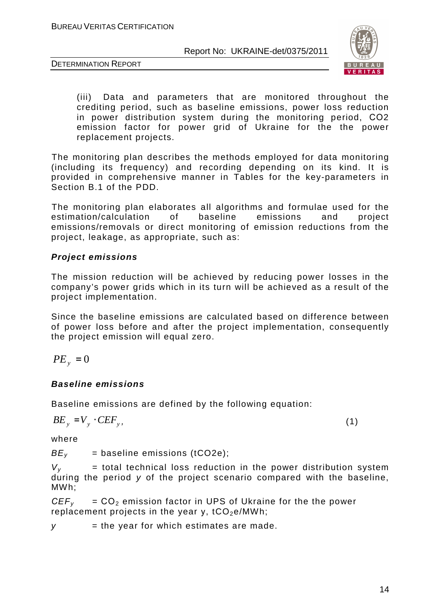



(iii) Data and parameters that are monitored throughout the crediting period, such as baseline emissions, power loss reduction in power distribution system during the monitoring period, СО2 emission factor for power grid of Ukraine for the the power replacement projects.

The monitoring plan describes the methods employed for data monitoring (including its frequency) and recording depending on its kind. It is provided in comprehensive manner in Tables for the key-parameters in Section B.1 of the PDD.

The monitoring plan elaborates all algorithms and formulae used for the estimation/calculation of baseline emissions and project emissions/removals or direct monitoring of emission reductions from the project, leakage, as appropriate, such as:

#### **Project emissions**

The mission reduction will be achieved by reducing power losses in the company's power grids which in its turn will be achieved as a result of the project implementation.

Since the baseline emissions are calculated based on difference between of power loss before and after the project implementation, consequently the project emission will equal zero.

$$
PE_{y} = 0
$$

#### **Baseline emissions**

Baseline emissions are defined by the following equation:

$$
BE_y = V_y \cdot CEF_y, \tag{1}
$$

where

 $BE<sub>v</sub>$  = baseline emissions (tCO2e);

 $V_v$  = total technical loss reduction in the power distribution system during the period y of the project scenario compared with the baseline, MWh;

 $CEF<sub>v</sub> = CO<sub>2</sub>$  emission factor in UPS of Ukraine for the the power replacement projects in the year y,  $tCO_2e/MWh$ ;

 $y =$  the year for which estimates are made.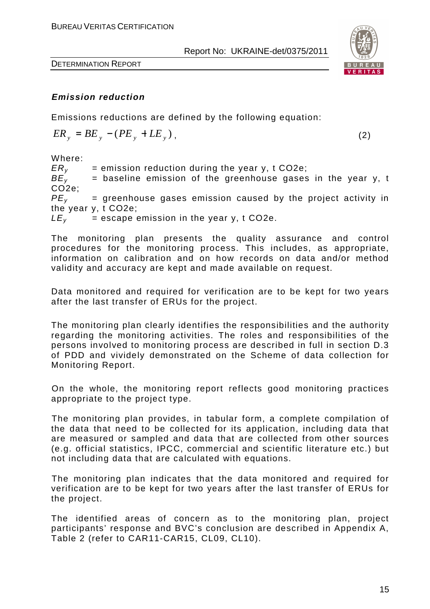

DETERMINATION REPORT

#### **Emission reduction**

Emissions reductions are defined by the following equation:

$$
ER_y = BE_y - (PE_y + LE_y),
$$

,  $(2)$ 

Where:

 $ER<sub>v</sub>$  = emission reduction during the year y, t CO2e;  $BE<sub>v</sub>$  = baseline emission of the greenhouse gases in the year y, t CO2e;  $PE<sub>v</sub>$  = greenhouse gases emission caused by the project activity in the year y, t CO2e;  $LE<sub>v</sub>$  = escape emission in the year y, t CO2e.

The monitoring plan presents the quality assurance and control procedures for the monitoring process. This includes, as appropriate, information on calibration and on how records on data and/or method validity and accuracy are kept and made available on request.

Data monitored and required for verification are to be kept for two years after the last transfer of ERUs for the project.

The monitoring plan clearly identifies the responsibilities and the authority regarding the monitoring activities. The roles and responsibilities of the persons involved to monitoring process are described in full in section D.3 of PDD and vividely demonstrated on the Scheme of data collection for Monitoring Report.

On the whole, the monitoring report reflects good monitoring practices appropriate to the project type.

The monitoring plan provides, in tabular form, a complete compilation of the data that need to be collected for its application, including data that are measured or sampled and data that are collected from other sources (e.g. official statistics, IPCC, commercial and scientific literature etc.) but not including data that are calculated with equations.

The monitoring plan indicates that the data monitored and required for verification are to be kept for two years after the last transfer of ERUs for the project.

The identified areas of concern as to the monitoring plan, project participants' response and BVC's conclusion are described in Appendix A, Table 2 (refer to CAR11-CAR15, CL09, CL10).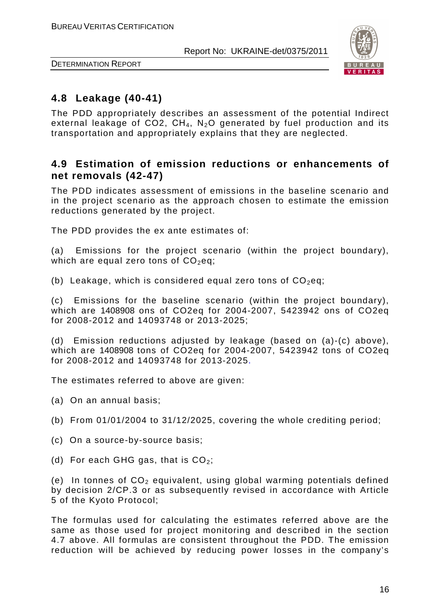

DETERMINATION REPORT

#### **4.8 Leakage (40-41)**

The PDD appropriately describes an assessment of the potential Indirect external leakage of CO2,  $CH_4$ , N<sub>2</sub>O generated by fuel production and its transportation and appropriately explains that they are neglected.

#### **4.9 Estimation of emission reductions or enhancements of net removals (42-47)**

The PDD indicates assessment of emissions in the baseline scenario and in the project scenario as the approach chosen to estimate the emission reductions generated by the project.

The PDD provides the ex ante estimates of:

(a) Emissions for the project scenario (within the project boundary), which are equal zero tons of  $CO<sub>2</sub>$ eq;

(b) Leakage, which is considered equal zero tons of  $CO<sub>2</sub>$ eq;

(c) Emissions for the baseline scenario (within the project boundary), which are 1408908 ons of CO2eq for 2004-2007, 5423942 ons of CO2eq for 2008-2012 and 14093748 or 2013-2025;

(d) Emission reductions adjusted by leakage (based on (a)-(c) above), which are 1408908 tons of CO2eq for 2004-2007, 5423942 tons of CO2eq for 2008-2012 and 14093748 for 2013-2025.

The estimates referred to above are given:

- (a) On an annual basis;
- (b) From 01/01/2004 to 31/12/2025, covering the whole crediting period;
- (c) On a source-by-source basis;
- (d) For each GHG gas, that is  $CO<sub>2</sub>$ ;

(e) In tonnes of  $CO<sub>2</sub>$  equivalent, using global warming potentials defined by decision 2/CP.3 or as subsequently revised in accordance with Article 5 of the Kyoto Protocol;

The formulas used for calculating the estimates referred above are the same as those used for project monitoring and described in the section 4.7 above. All formulas are consistent throughout the PDD. The emission reduction will be achieved by reducing power losses in the company's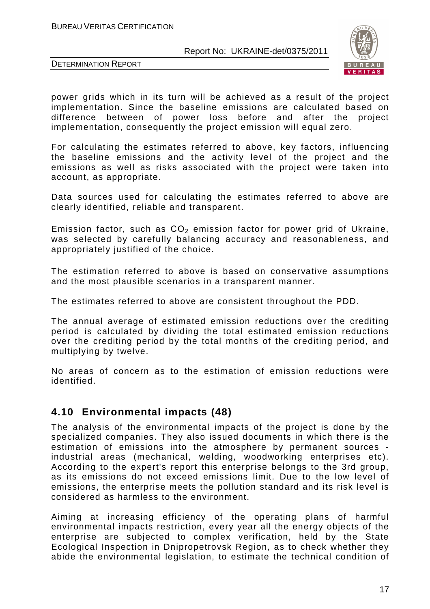

DETERMINATION REPORT

power grids which in its turn will be achieved as a result of the project implementation. Since the baseline emissions are calculated based on difference between of power loss before and after the project implementation, consequently the project emission will equal zero.

For calculating the estimates referred to above, key factors, influencing the baseline emissions and the activity level of the project and the emissions as well as risks associated with the project were taken into account, as appropriate.

Data sources used for calculating the estimates referred to above are clearly identified, reliable and transparent.

Emission factor, such as  $CO<sub>2</sub>$  emission factor for power grid of Ukraine, was selected by carefully balancing accuracy and reasonableness, and appropriately justified of the choice.

The estimation referred to above is based on conservative assumptions and the most plausible scenarios in a transparent manner.

The estimates referred to above are consistent throughout the PDD.

The annual average of estimated emission reductions over the crediting period is calculated by dividing the total estimated emission reductions over the crediting period by the total months of the crediting period, and multiplying by twelve.

No areas of concern as to the estimation of emission reductions were identified.

#### **4.10 Environmental impacts (48)**

The analysis of the environmental impacts of the project is done by the specialized companies. They also issued documents in which there is the estimation of emissions into the atmosphere by permanent sources industrial areas (mechanical, welding, woodworking enterprises etc). According to the expert's report this enterprise belongs to the 3rd group, as its emissions do not exceed emissions limit. Due to the low level of emissions, the enterprise meets the pollution standard and its risk level is considered as harmless to the environment.

Aiming at increasing efficiency of the operating plans of harmful environmental impacts restriction, every year all the energy objects of the enterprise are subjected to complex verification, held by the State Ecological Inspection in Dnipropetrovsk Region, as to check whether they abide the environmental legislation, to estimate the technical condition of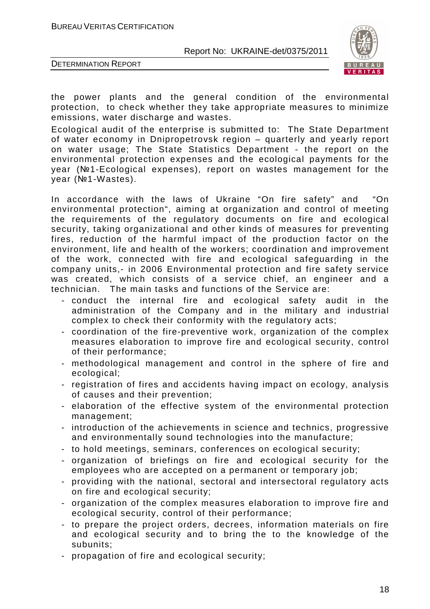

DETERMINATION REPORT

the power plants and the general condition of the environmental protection, to check whether they take appropriate measures to minimize emissions, water discharge and wastes.

Ecological audit of the enterprise is submitted to: The State Department of water economy in Dnipropetrovsk region – quarterly and yearly report on water usage; The State Statistics Department - the report on the environmental protection expenses and the ecological payments for the year (№1-Ecological expenses), report on wastes management for the year (№1-Wastes).

In accordance with the laws of Ukraine "On fire safety" and "On environmental protection", aiming at organization and control of meeting the requirements of the regulatory documents on fire and ecological security, taking organizational and other kinds of measures for preventing fires, reduction of the harmful impact of the production factor on the environment, life and health of the workers; coordination and improvement of the work, connected with fire and ecological safeguarding in the company units,- in 2006 Environmental protection and fire safety service was created, which consists of a service chief, an engineer and a technician. The main tasks and functions of the Service are:

- conduct the internal fire and ecological safety audit in the administration of the Company and in the military and industrial complex to check their conformity with the regulatory acts;
- coordination of the fire-preventive work, organization of the complex measures elaboration to improve fire and ecological security, control of their performance;
- methodological management and control in the sphere of fire and ecological;
- registration of fires and accidents having impact on ecology, analysis of causes and their prevention;
- elaboration of the effective system of the environmental protection management;
- introduction of the achievements in science and technics, progressive and environmentally sound technologies into the manufacture;
- to hold meetings, seminars, conferences on ecological security;
- organization of briefings on fire and ecological security for the employees who are accepted on a permanent or temporary job;
- providing with the national, sectoral and intersectoral regulatory acts on fire and ecological security;
- organization of the complex measures elaboration to improve fire and ecological security, control of their performance;
- to prepare the project orders, decrees, information materials on fire and ecological security and to bring the to the knowledge of the subunits;
- propagation of fire and ecological security;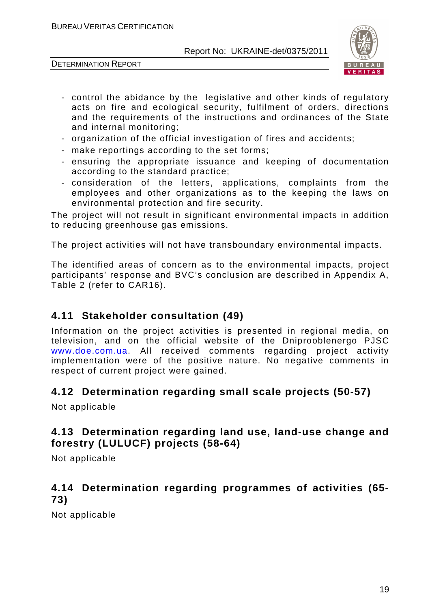DETERMINATION REPORT



- control the abidance by the legislative and other kinds of regulatory acts on fire and ecological security, fulfilment of orders, directions and the requirements of the instructions and ordinances of the State and internal monitoring;
- organization of the official investigation of fires and accidents;
- make reportings according to the set forms;
- ensuring the appropriate issuance and keeping of documentation according to the standard practice;
- consideration of the letters, applications, complaints from the employees and other organizations as to the keeping the laws on environmental protection and fire security.

The project will not result in significant environmental impacts in addition to reducing greenhouse gas emissions.

The project activities will not have transboundary environmental impacts.

The identified areas of concern as to the environmental impacts, project participants' response and BVC's conclusion are described in Appendix A, Table 2 (refer to CAR16).

#### **4.11 Stakeholder consultation (49)**

Information on the project activities is presented in regional media, on television, and on the official website of the Dniprooblenergo PJSC www.doe.com.ua. All received comments regarding project activity implementation were of the positive nature. No negative comments in respect of current project were gained.

#### **4.12 Determination regarding small scale projects (50-57)**

Not applicable

#### **4.13 Determination regarding land use, land-use change and forestry (LULUCF) projects (58-64)**

Not applicable

#### **4.14 Determination regarding programmes of activities (65- 73)**

Not applicable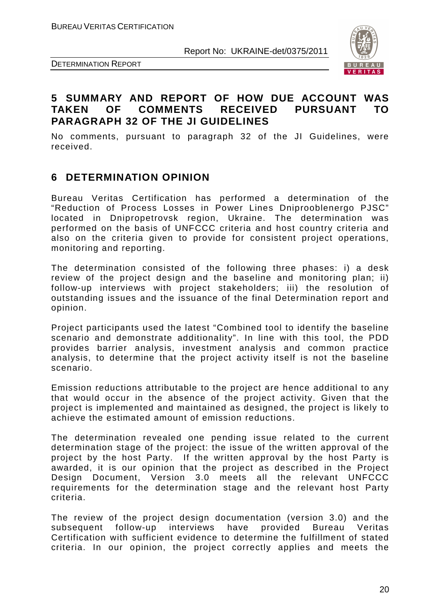



#### **5 SUMMARY AND REPORT OF HOW DUE ACCOUNT WAS TAKEN OF COMMENTS RECEIVED PURSUANT TO PARAGRAPH 32 OF THE JI GUIDELINES**

No comments, pursuant to paragraph 32 of the JI Guidelines, were received.

#### **6 DETERMINATION OPINION**

Bureau Veritas Certification has performed a determination of the "Reduction of Process Losses in Power Lines Dniprooblenergo PJSC" located in Dnipropetrovsk region, Ukraine. The determination was performed on the basis of UNFCCC criteria and host country criteria and also on the criteria given to provide for consistent project operations, monitoring and reporting.

The determination consisted of the following three phases: i) a desk review of the project design and the baseline and monitoring plan; ii) follow-up interviews with project stakeholders; iii) the resolution of outstanding issues and the issuance of the final Determination report and opinion.

Project participants used the latest "Combined tool to identify the baseline scenario and demonstrate additionality". In line with this tool, the PDD provides barrier analysis, investment analysis and common practice analysis, to determine that the project activity itself is not the baseline scenario.

Emission reductions attributable to the project are hence additional to any that would occur in the absence of the project activity. Given that the project is implemented and maintained as designed, the project is likely to achieve the estimated amount of emission reductions.

The determination revealed one pending issue related to the current determination stage of the project: the issue of the written approval of the project by the host Party. If the written approval by the host Party is awarded, it is our opinion that the project as described in the Project Design Document, Version 3.0 meets all the relevant UNFCCC requirements for the determination stage and the relevant host Party criteria.

The review of the project design documentation (version 3.0) and the subsequent follow-up interviews have provided Bureau Veritas Certification with sufficient evidence to determine the fulfillment of stated criteria. In our opinion, the project correctly applies and meets the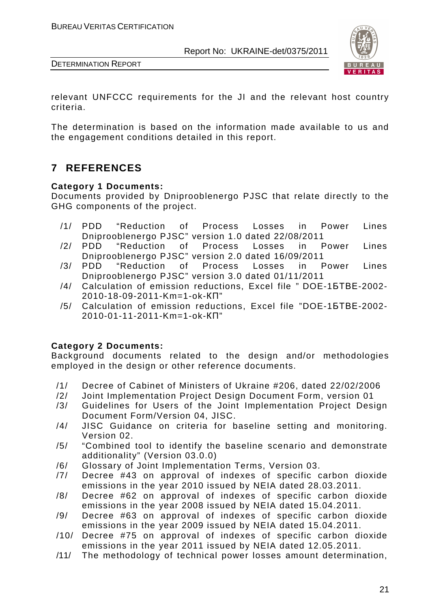



relevant UNFCCC requirements for the JI and the relevant host country criteria.

The determination is based on the information made available to us and the engagement conditions detailed in this report.

## **7 REFERENCES**

#### **Category 1 Documents:**

Documents provided by Dniprooblenergo PJSC that relate directly to the GHG components of the project.

- /1/ PDD "Reduction of Process Losses in Power Lines Dniprooblenergo PJSC" version 1.0 dated 22/08/2011
- /2/ PDD "Reduction of Process Losses in Power Lines Dniprooblenergo PJSC" version 2.0 dated 16/09/2011
- /3/ PDD "Reduction of Process Losses in Power Lines Dniprooblenergo PJSC" version 3.0 dated 01/11/2011
- /4/ Calculation of emission reductions, Excel file " DOE-1БТВЕ-2002- 2010-18-09-2011-Km=1-ok-КП"
- /5/ Calculation of emission reductions, Excel file "DOE-1БТВЕ-2002- 2010-01-11-2011-Km=1-ok-КП"

#### **Category 2 Documents:**

Background documents related to the design and/or methodologies employed in the design or other reference documents.

- /1/ Decree of Cabinet of Ministers of Ukraine #206, dated 22/02/2006
- /2/ Joint Implementation Project Design Document Form, version 01
- /3/ Guidelines for Users of the Joint Implementation Project Design Document Form/Version 04, JISC.
- /4/ JISC Guidance on criteria for baseline setting and monitoring. Version 02.
- /5/ "Combined tool to identify the baseline scenario and demonstrate additionality" (Version 03.0.0)
- /6/ Glossary of Joint Implementation Terms, Version 03.
- /7/ Decree #43 on approval of indexes of specific carbon dioxide emissions in the year 2010 issued by NEIA dated 28.03.2011.
- /8/ Decree #62 on approval of indexes of specific carbon dioxide emissions in the year 2008 issued by NEIA dated 15.04.2011.
- /9/ Decree #63 on approval of indexes of specific carbon dioxide emissions in the year 2009 issued by NEIA dated 15.04.2011.
- /10/ Decree #75 on approval of indexes of specific carbon dioxide emissions in the year 2011 issued by NEIA dated 12.05.2011.
- /11/ The methodology of technical power losses amount determination,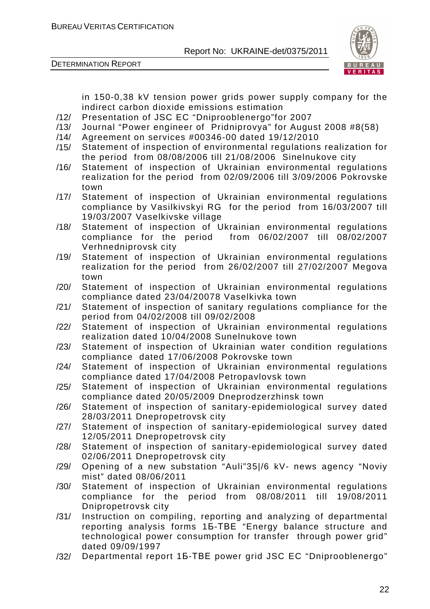



in 150-0,38 kV tension power grids power supply company for the indirect carbon dioxide emissions estimation

- /12/ Presentation of JSC EC "Dniprooblenergo"for 2007
- /13/ Journal "Power engineer of Pridniprovya" for August 2008 #8(58)
- /14/ Agreement on services #00346-00 dated 19/12/2010
- /15/ Statement of inspection of environmental regulations realization for the period from 08/08/2006 till 21/08/2006 Sinelnukove city
- /16/ Statement of inspection of Ukrainian environmental regulations realization for the period from 02/09/2006 till 3/09/2006 Pokrovske town
- /17/ Statement of inspection of Ukrainian environmental regulations compliance by Vasilkivskyi RG for the period from 16/03/2007 till 19/03/2007 Vaselkivske village
- /18/ Statement of inspection of Ukrainian environmental regulations compliance for the period from 06/02/2007 till 08/02/2007 Verhnedniprovsk city
- /19/ Statement of inspection of Ukrainian environmental regulations realization for the period from 26/02/2007 till 27/02/2007 Megova town
- /20/ Statement of inspection of Ukrainian environmental regulations compliance dated 23/04/20078 Vaselkivka town
- /21/ Statement of inspection of sanitary regulations compliance for the period from 04/02/2008 till 09/02/2008
- /22/ Statement of inspection of Ukrainian environmental regulations realization dated 10/04/2008 Sunelnukove town
- /23/ Statement of inspection of Ukrainian water condition regulations compliance dated 17/06/2008 Pokrovske town
- /24/ Statement of inspection of Ukrainian environmental regulations compliance dated 17/04/2008 Petropavlovsk town
- /25/ Statement of inspection of Ukrainian environmental regulations compliance dated 20/05/2009 Dneprodzerzhinsk town
- /26/ Statement of inspection of sanitary-epidemiological survey dated 28/03/2011 Dnepropetrovsk city
- /27/ Statement of inspection of sanitary-epidemiological survey dated 12/05/2011 Dnepropetrovsk city
- /28/ Statement of inspection of sanitary-epidemiological survey dated 02/06/2011 Dnepropetrovsk city
- /29/ Opening of a new substation "Auli"35|/6 kV- news agency "Noviy mist" dated 08/06/2011
- /30/ Statement of inspection of Ukrainian environmental regulations compliance for the period from 08/08/2011 till 19/08/2011 Dnipropetrovsk city
- /31/ Instruction on compiling, reporting and analyzing of departmental reporting analysis forms 1Б-ТВЕ "Energy balance structure and technological power consumption for transfer through power grid" dated 09/09/1997
- /32/ Departmental report 1Б-ТВЕ power grid JSC EC "Dniprooblenergo"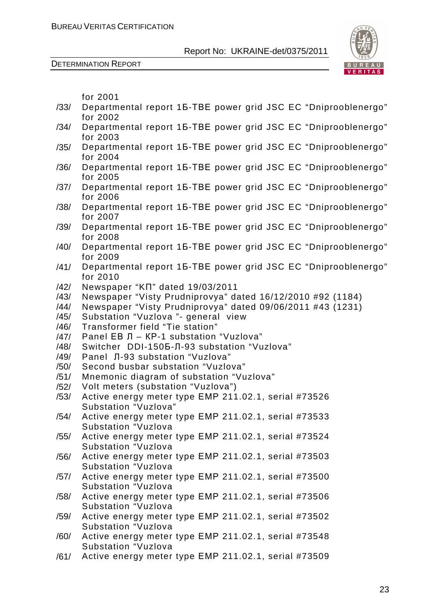



|              | for 2001                                                                     |
|--------------|------------------------------------------------------------------------------|
| /33/         | Departmental report 15-TBE power grid JSC EC "Dniprooblenergo"               |
|              | for 2002                                                                     |
| /34/         | Departmental report 15-TBE power grid JSC EC "Dniprooblenergo"               |
|              | for 2003                                                                     |
| /35/         | Departmental report 15-TBE power grid JSC EC "Dniprooblenergo"               |
|              | for 2004                                                                     |
| /36/         | Departmental report 15-TBE power grid JSC EC "Dniprooblenergo"               |
|              | for 2005                                                                     |
| /37/         | Departmental report 15-TBE power grid JSC EC "Dniprooblenergo"               |
|              | for 2006                                                                     |
| /38/         | Departmental report 15-TBE power grid JSC EC "Dniprooblenergo"               |
|              | for 2007                                                                     |
| /39/         | Departmental report 15-TBE power grid JSC EC "Dniprooblenergo"<br>for 2008   |
| /40/         | Departmental report 15-TBE power grid JSC EC "Dniprooblenergo"               |
|              | for 2009                                                                     |
| /41/         | Departmental report 15-TBE power grid JSC EC "Dniprooblenergo"               |
|              | for 2010                                                                     |
| /42/         | Newspaper "KN" dated 19/03/2011                                              |
| /43/         | Newspaper "Visty Prudniprovya" dated 16/12/2010 #92 (1184)                   |
| /44/         | Newspaper "Visty Prudniprovya" dated 09/06/2011 #43 (1231)                   |
| /45/         | Substation "Vuzlova "- general view                                          |
| /46/         | Transformer field "Tie station"                                              |
| /47/         | Panel EB Л - KP-1 substation "Vuzlova"                                       |
| /48/         | Switcher DDI-150Б-Л-93 substation "Vuzlova"                                  |
| /49/         | Panel Л-93 substation "Vuzlova"                                              |
| /50/         | Second busbar substation "Vuzlova"                                           |
| /51/         | Mnemonic diagram of substation "Vuzlova"                                     |
| /52/<br>/53/ | Volt meters (substation "Vuzlova")                                           |
|              | Active energy meter type EMP 211.02.1, serial #73526<br>Substation "Vuzlova" |
| /54/         | Active energy meter type EMP 211.02.1, serial #73533                         |
|              | <b>Substation "Vuzlova</b>                                                   |
| /55/         | Active energy meter type EMP 211.02.1, serial #73524                         |
|              | Substation "Vuzlova                                                          |
| /56/         | Active energy meter type EMP 211.02.1, serial #73503                         |
|              | Substation "Vuzlova                                                          |
| /57/         | Active energy meter type EMP 211.02.1, serial #73500                         |
|              | <b>Substation "Vuzlova</b>                                                   |
| /58/         | Active energy meter type EMP 211.02.1, serial #73506                         |
|              | Substation "Vuzlova                                                          |
| /59/         | Active energy meter type EMP 211.02.1, serial #73502                         |
|              | <b>Substation "Vuzlova</b>                                                   |
| /60/         | Active energy meter type EMP 211.02.1, serial #73548                         |
|              | <b>Substation "Vuzlova</b>                                                   |
| /61/         | Active energy meter type EMP 211.02.1, serial #73509                         |
|              |                                                                              |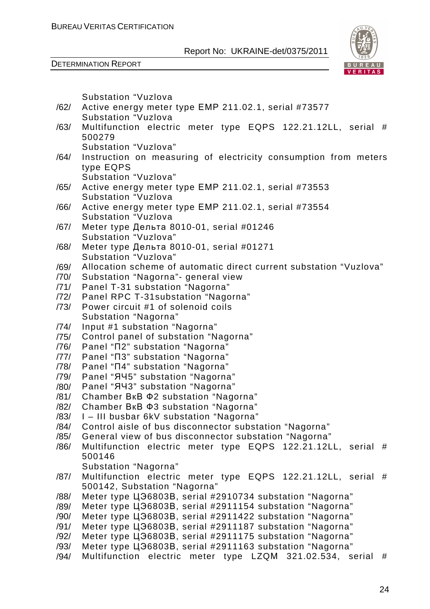

|      | Substation "Vuzlova                                                |
|------|--------------------------------------------------------------------|
| /62/ | Active energy meter type EMP 211.02.1, serial #73577               |
|      | Substation "Vuzlova                                                |
| /63/ | Multifunction electric meter type EQPS 122.21.12LL, serial #       |
|      | 500279                                                             |
|      | Substation "Vuzlova"                                               |
| /64/ | Instruction on measuring of electricity consumption from meters    |
|      | type EQPS                                                          |
|      | Substation "Vuzlova"                                               |
| /65/ | Active energy meter type EMP 211.02.1, serial #73553               |
|      | Substation "Vuzlova                                                |
| /66/ | Active energy meter type EMP 211.02.1, serial #73554               |
|      | Substation "Vuzlova                                                |
| /67/ | Meter type Дельта 8010-01, serial #01246                           |
|      | Substation "Vuzlova"                                               |
| /68/ | Meter type Дельта 8010-01, serial #01271                           |
|      | Substation "Vuzlova"                                               |
| /69/ | Allocation scheme of automatic direct current substation "Vuzlova" |
| /70/ | Substation "Nagorna"- general view                                 |
| /71/ | Panel T-31 substation "Nagorna"                                    |
| /72/ | Panel RPC T-31substation "Nagorna"                                 |
| /73/ | Power circuit #1 of solenoid coils                                 |
|      | Substation "Nagorna"                                               |
| /74/ | Input #1 substation "Nagorna"                                      |
| /75/ | Control panel of substation "Nagorna"                              |
| /76/ | Panel "N2" substation "Nagorna"                                    |
| /77/ | Panel "N3" substation "Nagorna"                                    |
| /78/ | Panel "N4" substation "Nagorna"                                    |
| /79/ | Panel "ЯЧ5" substation "Nagorna"                                   |
| /80/ | Panel "ЯЧЗ" substation "Nagorna"                                   |
| /81/ | Chamber BKB $\Phi$ 2 substation "Nagorna"                          |
| /82/ | Chamber BKB $\Phi$ 3 substation "Nagorna"                          |
| /83/ | I-III busbar 6kV substation "Nagorna"                              |
| /84/ | Control aisle of bus disconnector substation "Nagorna"             |
| /85/ | General view of bus disconnector substation "Nagorna"              |
| /86/ | Multifunction electric meter type EQPS 122.21.12LL, serial<br>#    |
|      | 500146                                                             |
|      | Substation "Nagorna"                                               |
| /87/ | Multifunction electric meter type EQPS 122.21.12LL, serial #       |
|      | 500142, Substation "Nagorna"                                       |
| /88/ | Meter type LJ36803B, serial #2910734 substation "Nagorna"          |
| /89/ | Meter type LJ36803B, serial #2911154 substation "Nagorna"          |
| /90/ | Meter type LJ36803B, serial #2911422 substation "Nagorna"          |
| /91/ | Meter type LJ36803B, serial #2911187 substation "Nagorna"          |
| /92/ | Meter type LJ36803B, serial #2911175 substation "Nagorna"          |
| /93/ | Meter type LJ36803B, serial #2911163 substation "Nagorna"          |
| /94/ | Multifunction electric meter type LZQM 321.02.534, serial<br>#     |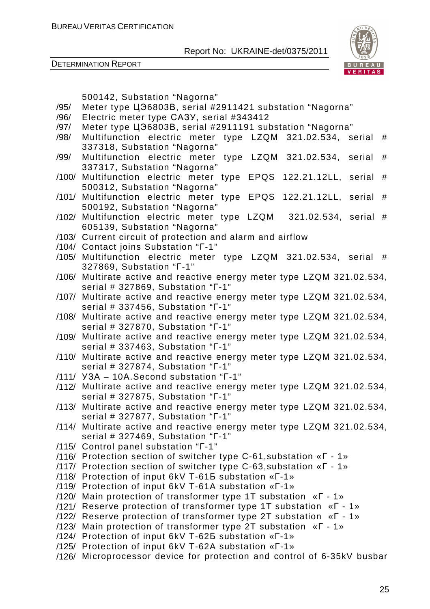

|              | 500142, Substation "Nagorna"                                                                 |
|--------------|----------------------------------------------------------------------------------------------|
| /95/         | Meter type LJ36803B, serial #2911421 substation "Nagorna"                                    |
| /96/<br>/97/ | Electric meter type CA3Y, serial #343412                                                     |
|              | Meter type LJ36803B, serial #2911191 substation "Nagorna"                                    |
| /98/         | Multifunction electric meter type LZQM 321.02.534, serial #                                  |
|              | 337318, Substation "Nagorna"                                                                 |
| /99/         | Multifunction electric meter type LZQM 321.02.534, serial #                                  |
|              | 337317, Substation "Nagorna"                                                                 |
|              | /100/ Multifunction electric meter type EPQS 122.21.12LL, serial #                           |
| /101/        | 500312, Substation "Nagorna"                                                                 |
|              | Multifunction electric meter type EPQS 122.21.12LL, serial #<br>500192, Substation "Nagorna" |
|              | /102/ Multifunction electric meter type LZQM 321.02.534, serial #                            |
|              | 605139, Substation "Nagorna"                                                                 |
|              | /103/ Current circuit of protection and alarm and airflow                                    |
|              | /104/ Contact joins Substation "T-1"                                                         |
|              | /105/ Multifunction electric meter type LZQM 321.02.534, serial #                            |
|              | 327869, Substation " $\Gamma$ -1"                                                            |
|              | /106/ Multirate active and reactive energy meter type LZQM 321.02.534,                       |
|              | serial # 327869, Substation "T-1"                                                            |
|              | /107/ Multirate active and reactive energy meter type LZQM 321.02.534,                       |
|              | serial # 337456, Substation "T-1"                                                            |
| /108/        | Multirate active and reactive energy meter type LZQM 321.02.534,                             |
|              | serial # 327870, Substation "T-1"                                                            |
|              | /109/ Multirate active and reactive energy meter type LZQM 321.02.534,                       |
|              | serial # 337463, Substation "T-1"                                                            |
|              | /110/ Multirate active and reactive energy meter type LZQM 321.02.534,                       |
|              | serial # 327874, Substation "T-1"                                                            |
|              | /111/ Y3A - 10A. Second substation "T-1"                                                     |
|              | /112/ Multirate active and reactive energy meter type LZQM 321.02.534,                       |
|              | serial # 327875, Substation "T-1"                                                            |
|              | /113/ Multirate active and reactive energy meter type LZQM 321.02.534,                       |
|              | serial # 327877, Substation "T-1"                                                            |
| /114/        | Multirate active and reactive energy meter type LZQM 321.02.534,                             |
|              | serial # 327469, Substation "Г-1"                                                            |
|              | /115/ Control panel substation "T-1"                                                         |
|              | /116/ Protection section of switcher type C-61, substation « $\Gamma$ - 1»                   |
|              | /117/ Protection section of switcher type C-63, substation « $\Gamma$ - 1»                   |
|              | /118/ Protection of input 6kV T-615 substation «T-1»                                         |
|              | /119/ Protection of input 6kV T-61A substation «T-1»                                         |
|              | /120/ Main protection of transformer type 1T substation « $\Gamma$ - 1»                      |
|              | /121/ Reserve protection of transformer type 1T substation « $\Gamma$ - 1»                   |
|              | /122/ Reserve protection of transformer type 2T substation « $\Gamma$ - 1»                   |
|              | /123/ Main protection of transformer type 2T substation « $\Gamma$ - 1»                      |
|              | /124/ Protection of input 6kV T-625 substation «T-1»                                         |
|              | /125/ Protection of input 6kV T-62A substation «T-1»                                         |
|              | /126/ Microprocessor device for protection and control of 6-35kV busbar                      |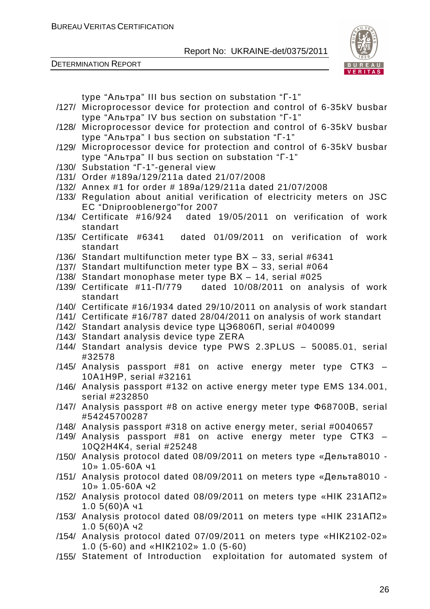DETERMINATION REPORT



type "Альтра" III bus section on substation "Г-1"

- /127/ Microprocessor device for protection and control of 6-35kV busbar type "Альтра" IV bus section on substation "Г-1"
- /128/ Microprocessor device for protection and control of 6-35kV busbar type "Альтра" I bus section on substation "Г-1"
- /129/ Microprocessor device for protection and control of 6-35kV busbar type "Альтра" II bus section on substation "Г-1"
- /130/ Substation "Г-1"-general view
- /131/ Order #189a/129/211a dated 21/07/2008
- /132/ Annex #1 for order # 189а/129/211a dated 21/07/2008
- /133/ Regulation about anitial verification of electricity meters on JSC EC "Dniprooblenergo"for 2007
- /134/ Certificate #16/924 dated 19/05/2011 on verification of work standart
- /135/ Certificate #6341 dated 01/09/2011 on verification of work standart
- /136/ Standart multifunction meter type ВХ 33, serial #6341
- /137/ Standart multifunction meter type ВХ 33, serial #064
- /138/ Standart monophase meter type ВХ 14, serial #025
- /139/ Certificate #11-П/779 dated 10/08/2011 on analysis of work standart
- /140/ Certificate #16/1934 dated 29/10/2011 on analysis of work standart
- /141/ Certificate #16/787 dated 28/04/2011 on analysis of work standart
- /142/ Standart analysis device type ЦЭ6806П, serial #040099
- /143/ Standart analysis device type ZERA
- /144/ Standart analysis device type PWS 2.3PLUS 50085.01, serial #32578
- /145/ Analysis passport #81 on active energy meter type СТК3 10А1Н9Р, serial #32161
- /146/ Analysis passport #132 on active energy meter type EMS 134.001, serial #232850
- /147/ Analysis passport #8 on active energy meter type Ф68700В, serial #54245700287
- /148/ Analysis passport #318 on active energy meter, serial #0040657
- /149/ Analysis passport #81 on active energy meter type СТК3 10Q2Н4К4, serial #25248
- /150/ Analysis protocol dated 08/09/2011 on meters type «Дельта8010 10» 1.05-60А ч1
- /151/ Analysis protocol dated 08/09/2011 on meters type «Дельта8010 10» 1.05-60А ч2
- /152/ Analysis protocol dated 08/09/2011 on meters type «НІК 231АП2» 1.0 5(60)А ч1
- /153/ Analysis protocol dated 08/09/2011 on meters type «НІК 231АП2» 1.0 5(60)А ч2
- /154/ Analysis protocol dated 07/09/2011 on meters type «НІК2102-02» 1.0 (5-60) and «НІК2102» 1.0 (5-60)
- /155/ Statement of Introduction exploitation for automated system of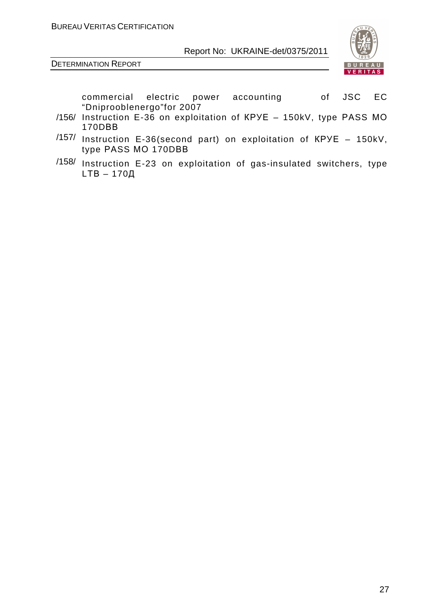

DETERMINATION REPORT

commercial electric power accounting of JSC EC "Dniprooblenergo"for 2007

- /156/ Instruction E-36 on exploitation of КРУЕ 150kV, type РАSS МО 170DВВ
- /157/ Instruction E-36(second part) on exploitation of КРУЕ 150kV, type РАSS МО 170DВВ
- /158/ Instruction E-23 on exploitation of gas-insulated switchers, type LТВ – 170Д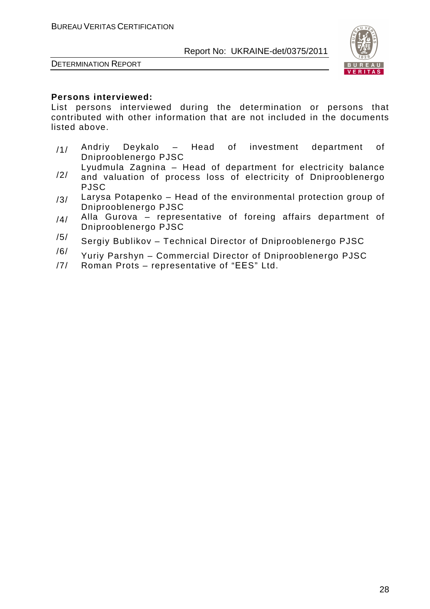

DETERMINATION REPORT

#### **Persons interviewed:**

List persons interviewed during the determination or persons that contributed with other information that are not included in the documents listed above.

- $/1/$  Andriy Deykalo Head of investment department of Dniprooblenergo PJSC
- /2/ Lyudmula Zagnina – Head of department for electricity balance and valuation of process loss of electricity of Dniprooblenergo
- PJSC  $/3/$  Larysa Potapenko – Head of the environmental protection group of
- Dniprooblenergo PJSC  $/4/$  Alla Gurova – representative of foreing affairs department of Dniprooblenergo PJSC
- $/5/$  Sergiy Bublikov Technical Director of Dniprooblenergo PJSC
- $/6/$  Yuriy Parshyn Commercial Director of Dniprooblenergo PJSC
- /7/ Roman Prots representative of "ЕЕS" Ltd.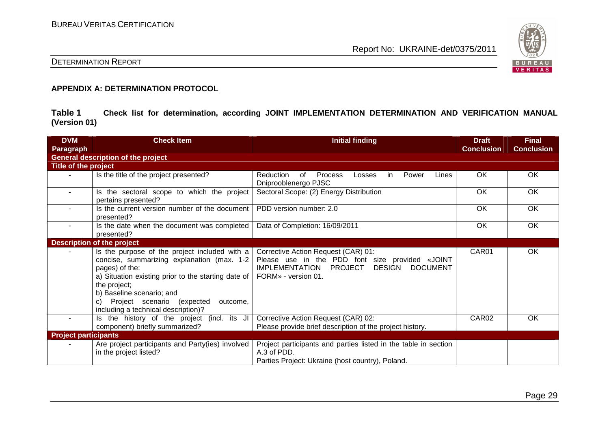

#### DETERMINATION REPORT

#### **APPENDIX A: DETERMINATION PROTOCOL**

**Table 1 Check list for determination, according JOINT IMPLEMENTATION DETERMINATION AND VERIFICATION MANUAL (Version 01)** 

| <b>DVM</b><br>Paragraph     | <b>Check Item</b>                                                                                                                                                                                                                                                                                           | <b>Initial finding</b>                                                                                                                                                                | <b>Draft</b><br><b>Conclusion</b> | <b>Final</b><br><b>Conclusion</b> |
|-----------------------------|-------------------------------------------------------------------------------------------------------------------------------------------------------------------------------------------------------------------------------------------------------------------------------------------------------------|---------------------------------------------------------------------------------------------------------------------------------------------------------------------------------------|-----------------------------------|-----------------------------------|
|                             | <b>General description of the project</b>                                                                                                                                                                                                                                                                   |                                                                                                                                                                                       |                                   |                                   |
| Title of the project        |                                                                                                                                                                                                                                                                                                             |                                                                                                                                                                                       |                                   |                                   |
|                             | Is the title of the project presented?                                                                                                                                                                                                                                                                      | 0f<br><b>Process</b><br>Reduction<br>Power<br>Lines<br>Losses<br>in<br>Dniprooblenergo PJSC                                                                                           | OK                                | OK                                |
| $\sim$                      | Is the sectoral scope to which the project<br>pertains presented?                                                                                                                                                                                                                                           | Sectoral Scope: (2) Energy Distribution                                                                                                                                               | OK                                | OK                                |
|                             | Is the current version number of the document<br>presented?                                                                                                                                                                                                                                                 | PDD version number: 2.0                                                                                                                                                               | OK                                | OK                                |
| $\sim$                      | Is the date when the document was completed<br>presented?                                                                                                                                                                                                                                                   | Data of Completion: 16/09/2011                                                                                                                                                        | OK.                               | OK                                |
|                             | <b>Description of the project</b>                                                                                                                                                                                                                                                                           |                                                                                                                                                                                       |                                   |                                   |
|                             | Is the purpose of the project included with a<br>concise, summarizing explanation (max. 1-2<br>pages) of the:<br>a) Situation existing prior to the starting date of<br>the project;<br>b) Baseline scenario; and<br>Project scenario<br>expected)<br>outcome,<br>C)<br>including a technical description)? | Corrective Action Request (CAR) 01:<br>Please use in the PDD font size provided «JOINT<br><b>DESIGN</b><br><b>DOCUMENT</b><br><b>IMPLEMENTATION</b><br>PROJECT<br>FORM» - version 01. | CAR01                             | OK                                |
| $\sim$                      | Is the history of the project (incl. its JI<br>component) briefly summarized?                                                                                                                                                                                                                               | Corrective Action Request (CAR) 02:<br>Please provide brief description of the project history.                                                                                       | CAR <sub>02</sub>                 | <b>OK</b>                         |
| <b>Project participants</b> |                                                                                                                                                                                                                                                                                                             |                                                                                                                                                                                       |                                   |                                   |
|                             | Are project participants and Party(ies) involved<br>in the project listed?                                                                                                                                                                                                                                  | Project participants and parties listed in the table in section<br>A.3 of PDD.<br>Parties Project: Ukraine (host country), Poland.                                                    |                                   |                                   |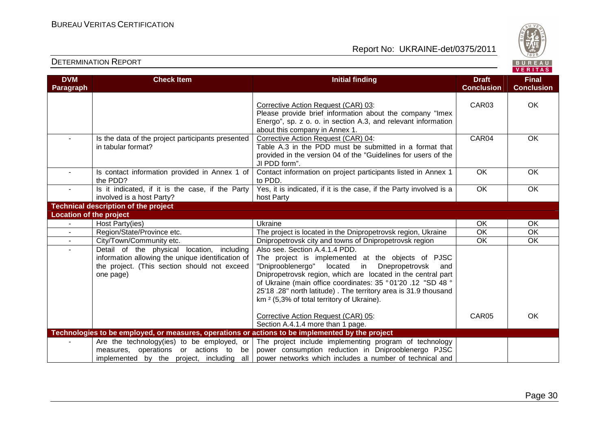

| <b>DETERMINATION REPORT</b>    |                                                                                                                                                              |                                                                                                                                                                                                                                                                                                                                                                                                      | BUREAU<br><b>VERITAS</b>          |                                   |
|--------------------------------|--------------------------------------------------------------------------------------------------------------------------------------------------------------|------------------------------------------------------------------------------------------------------------------------------------------------------------------------------------------------------------------------------------------------------------------------------------------------------------------------------------------------------------------------------------------------------|-----------------------------------|-----------------------------------|
| <b>DVM</b><br>Paragraph        | <b>Check Item</b>                                                                                                                                            | <b>Initial finding</b>                                                                                                                                                                                                                                                                                                                                                                               | <b>Draft</b><br><b>Conclusion</b> | <b>Final</b><br><b>Conclusion</b> |
|                                |                                                                                                                                                              | Corrective Action Request (CAR) 03:<br>Please provide brief information about the company "Imex<br>Energo", sp. z o. o. in section A.3, and relevant information<br>about this company in Annex 1.                                                                                                                                                                                                   | CAR03                             | OK                                |
|                                | Is the data of the project participants presented<br>in tabular format?                                                                                      | Corrective Action Request (CAR) 04:<br>Table A.3 in the PDD must be submitted in a format that<br>provided in the version 04 of the "Guidelines for users of the<br>JI PDD form".                                                                                                                                                                                                                    | CAR04                             | <b>OK</b>                         |
| $\sim$                         | Is contact information provided in Annex 1 of<br>the PDD?                                                                                                    | Contact information on project participants listed in Annex 1<br>to PDD.                                                                                                                                                                                                                                                                                                                             | OK                                | OK                                |
| $\sim$                         | Is it indicated, if it is the case, if the Party<br>involved is a host Party?                                                                                | Yes, it is indicated, if it is the case, if the Party involved is a<br>host Party                                                                                                                                                                                                                                                                                                                    | OK                                | OK                                |
|                                | <b>Technical description of the project</b>                                                                                                                  |                                                                                                                                                                                                                                                                                                                                                                                                      |                                   |                                   |
| <b>Location of the project</b> |                                                                                                                                                              |                                                                                                                                                                                                                                                                                                                                                                                                      |                                   |                                   |
|                                | Host Party(ies)                                                                                                                                              | Ukraine                                                                                                                                                                                                                                                                                                                                                                                              | <b>OK</b>                         | OK                                |
|                                | Region/State/Province etc.                                                                                                                                   | The project is located in the Dnipropetrovsk region, Ukraine                                                                                                                                                                                                                                                                                                                                         | $\overline{OK}$                   | $\overline{\mathsf{OK}}$          |
|                                | City/Town/Community etc.                                                                                                                                     | Dnipropetrovsk city and towns of Dnipropetrovsk region                                                                                                                                                                                                                                                                                                                                               | OK                                | OK                                |
|                                | Detail of the physical location, including<br>information allowing the unique identification of<br>the project. (This section should not exceed<br>one page) | Also see. Section A.4.1.4 PDD.<br>The project is implemented at the objects of PJSC<br>"Dniprooblenergo" located in Dnepropetrovsk<br>and<br>Dnipropetrovsk region, which are located in the central part<br>of Ukraine (main office coordinates: 35 ° 01'20 .12 "SD 48 °<br>25'18.28" north latitude). The territory area is 31.9 thousand<br>km <sup>2</sup> (5,3% of total territory of Ukraine). |                                   |                                   |
|                                |                                                                                                                                                              | Corrective Action Request (CAR) 05:<br>Section A.4.1.4 more than 1 page.                                                                                                                                                                                                                                                                                                                             | CAR05                             | <b>OK</b>                         |
|                                | Technologies to be employed, or measures, operations or actions to be implemented by the project                                                             |                                                                                                                                                                                                                                                                                                                                                                                                      |                                   |                                   |
|                                | measures, operations or actions to be<br>implemented by the project, including all                                                                           | Are the technology(ies) to be employed, or The project include implementing program of technology<br>power consumption reduction in Dniprooblenergo PJSC<br>power networks which includes a number of technical and                                                                                                                                                                                  |                                   |                                   |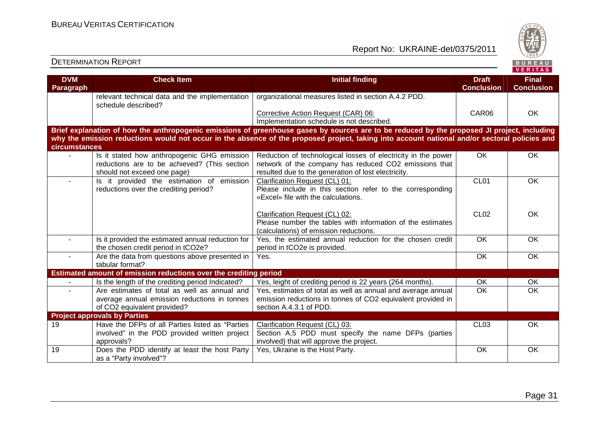

| <b>DVM</b><br><b>Paragraph</b> | <b>Check Item</b>                                                                                                           | <b>Initial finding</b>                                                                                                                                                                                                                                                                       | <b>Draft</b><br><b>Conclusion</b> | <b>Final</b><br><b>Conclusion</b> |
|--------------------------------|-----------------------------------------------------------------------------------------------------------------------------|----------------------------------------------------------------------------------------------------------------------------------------------------------------------------------------------------------------------------------------------------------------------------------------------|-----------------------------------|-----------------------------------|
|                                | relevant technical data and the implementation<br>schedule described?                                                       | organizational measures listed in section A.4.2 PDD.                                                                                                                                                                                                                                         |                                   |                                   |
|                                |                                                                                                                             | Corrective Action Request (CAR) 06:<br>Implementation schedule is not described.                                                                                                                                                                                                             | CAR06                             | OK                                |
| circumstances                  |                                                                                                                             | Brief explanation of how the anthropogenic emissions of greenhouse gases by sources are to be reduced by the proposed JI project, including<br>why the emission reductions would not occur in the absence of the proposed project, taking into account national and/or sectoral policies and |                                   |                                   |
|                                | Is it stated how anthropogenic GHG emission<br>reductions are to be achieved? (This section<br>should not exceed one page)  | Reduction of technological losses of electricity in the power<br>network of the company has reduced CO2 emissions that<br>resulted due to the generation of lost electricity.                                                                                                                | OK                                | OK                                |
|                                | Is it provided the estimation of emission<br>reductions over the crediting period?                                          | Clarification Request (CL) 01:<br>Please include in this section refer to the corresponding<br>«Excel» file with the calculations.                                                                                                                                                           | CL01                              | $\overline{OK}$                   |
|                                |                                                                                                                             | Clarification Request (CL) 02:<br>Please number the tables with information of the estimates<br>(calculations) of emission reductions.                                                                                                                                                       | <b>CL02</b>                       | OK                                |
| $\sim$                         | Is it provided the estimated annual reduction for<br>the chosen credit period in tCO2e?                                     | Yes, the estimated annual reduction for the chosen credit<br>period in tCO2e is provided.                                                                                                                                                                                                    | OK                                | OK                                |
| $\sim$                         | Are the data from questions above presented in<br>tabular format?                                                           | Yes.                                                                                                                                                                                                                                                                                         | OK                                | <b>OK</b>                         |
|                                | Estimated amount of emission reductions over the crediting period                                                           |                                                                                                                                                                                                                                                                                              |                                   |                                   |
|                                | Is the length of the crediting period Indicated?                                                                            | Yes, leight of crediting period is 22 years (264 months).                                                                                                                                                                                                                                    | OK                                | OK                                |
|                                | Are estimates of total as well as annual and<br>average annual emission reductions in tonnes<br>of CO2 equivalent provided? | Yes, estimates of total as well as annual and average annual<br>emission reductions in tonnes of CO2 equivalent provided in<br>section A.4.3.1 of PDD.                                                                                                                                       | OK                                | OK                                |
|                                | <b>Project approvals by Parties</b>                                                                                         |                                                                                                                                                                                                                                                                                              |                                   |                                   |
| 19                             | Have the DFPs of all Parties listed as "Parties"<br>involved" in the PDD provided written project<br>approvals?             | <b>Clarification Request (CL) 03:</b><br>Section A.5 PDD must specify the name DFPs (parties<br>involved) that will approve the project.                                                                                                                                                     | CL <sub>03</sub>                  | OK                                |
| $\overline{19}$                | Does the PDD identify at least the host Party<br>as a "Party involved"?                                                     | Yes, Ukraine is the Host Party.                                                                                                                                                                                                                                                              | OK                                | OK                                |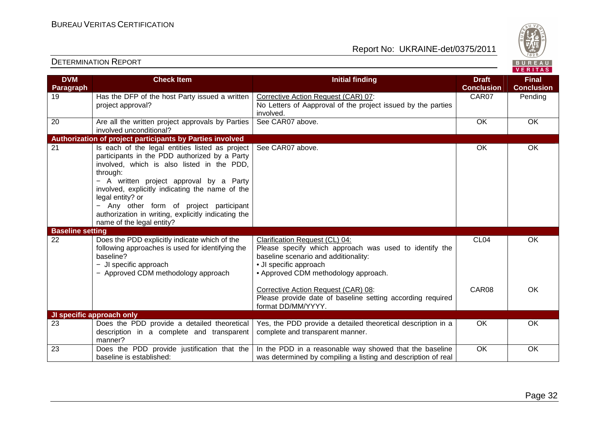

| <b>DVM</b>              | <b>Check Item</b>                                                           | <b>Initial finding</b>                                        | <b>Draft</b>      | <b>Final</b>      |
|-------------------------|-----------------------------------------------------------------------------|---------------------------------------------------------------|-------------------|-------------------|
| Paragraph               |                                                                             |                                                               | <b>Conclusion</b> | <b>Conclusion</b> |
| 19                      | Has the DFP of the host Party issued a written                              | Corrective Action Request (CAR) 07:                           | CAR07             | Pending           |
|                         | project approval?                                                           | No Letters of Aapproval of the project issued by the parties  |                   |                   |
|                         |                                                                             | involved.                                                     |                   |                   |
| 20                      | Are all the written project approvals by Parties<br>involved unconditional? | See CAR07 above.                                              | OK                | OK                |
|                         | Authorization of project participants by Parties involved                   |                                                               |                   |                   |
| 21                      | Is each of the legal entities listed as project                             | See CAR07 above.                                              | <b>OK</b>         | OK                |
|                         | participants in the PDD authorized by a Party                               |                                                               |                   |                   |
|                         | involved, which is also listed in the PDD,                                  |                                                               |                   |                   |
|                         | through:                                                                    |                                                               |                   |                   |
|                         | - A written project approval by a Party                                     |                                                               |                   |                   |
|                         | involved, explicitly indicating the name of the                             |                                                               |                   |                   |
|                         | legal entity? or                                                            |                                                               |                   |                   |
|                         | Any other form of project participant                                       |                                                               |                   |                   |
|                         | authorization in writing, explicitly indicating the                         |                                                               |                   |                   |
|                         | name of the legal entity?                                                   |                                                               |                   |                   |
| <b>Baseline setting</b> |                                                                             |                                                               |                   |                   |
| 22                      | Does the PDD explicitly indicate which of the                               | Clarification Request (CL) 04:                                | CL <sub>04</sub>  | <b>OK</b>         |
|                         | following approaches is used for identifying the                            | Please specify which approach was used to identify the        |                   |                   |
|                         | baseline?                                                                   | baseline scenario and additionality:                          |                   |                   |
|                         | - JI specific approach                                                      | • JI specific approach                                        |                   |                   |
|                         | - Approved CDM methodology approach                                         | • Approved CDM methodology approach.                          |                   |                   |
|                         |                                                                             |                                                               |                   |                   |
|                         |                                                                             | Corrective Action Request (CAR) 08:                           | CAR08             | <b>OK</b>         |
|                         |                                                                             | Please provide date of baseline setting according required    |                   |                   |
|                         |                                                                             | format DD/MM/YYYY.                                            |                   |                   |
|                         | JI specific approach only                                                   |                                                               |                   |                   |
| 23                      | Does the PDD provide a detailed theoretical                                 | Yes, the PDD provide a detailed theoretical description in a  | OK                | OK                |
|                         | description in a complete and transparent                                   | complete and transparent manner.                              |                   |                   |
|                         | manner?                                                                     |                                                               |                   |                   |
| 23                      | Does the PDD provide justification that the                                 | In the PDD in a reasonable way showed that the baseline       | OK                | OK                |
|                         | baseline is established:                                                    | was determined by compiling a listing and description of real |                   |                   |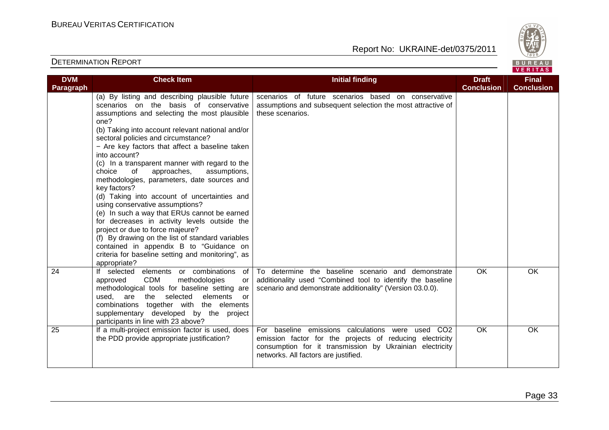

| <b>DVM</b><br>Paragraph | <b>Check Item</b>                                                                                                                                                                                                                                                                                                                                                                                                                                                                                                                                                                                                                                                                                                                                                                                                                                                         | <b>Initial finding</b>                                                                                                                                                                                            | <b>Draft</b><br><b>Conclusion</b> | <b>Final</b><br><b>Conclusion</b> |
|-------------------------|---------------------------------------------------------------------------------------------------------------------------------------------------------------------------------------------------------------------------------------------------------------------------------------------------------------------------------------------------------------------------------------------------------------------------------------------------------------------------------------------------------------------------------------------------------------------------------------------------------------------------------------------------------------------------------------------------------------------------------------------------------------------------------------------------------------------------------------------------------------------------|-------------------------------------------------------------------------------------------------------------------------------------------------------------------------------------------------------------------|-----------------------------------|-----------------------------------|
|                         | (a) By listing and describing plausible future<br>scenarios on the basis of conservative<br>assumptions and selecting the most plausible<br>one?<br>(b) Taking into account relevant national and/or<br>sectoral policies and circumstance?<br>- Are key factors that affect a baseline taken<br>into account?<br>(c) In a transparent manner with regard to the<br>choice<br>of<br>approaches,<br>assumptions,<br>methodologies, parameters, date sources and<br>key factors?<br>(d) Taking into account of uncertainties and<br>using conservative assumptions?<br>(e) In such a way that ERUs cannot be earned<br>for decreases in activity levels outside the<br>project or due to force majeure?<br>(f) By drawing on the list of standard variables<br>contained in appendix B to "Guidance on<br>criteria for baseline setting and monitoring", as<br>appropriate? | scenarios of future scenarios based on conservative<br>assumptions and subsequent selection the most attractive of<br>these scenarios.                                                                            |                                   |                                   |
| 24                      | If selected elements or combinations of<br><b>CDM</b><br>approved<br>methodologies<br>or<br>methodological tools for baseline setting are<br>used,<br>are the selected<br>elements<br>or<br>combinations together with the elements<br>supplementary developed by the project<br>participants in line with 23 above?                                                                                                                                                                                                                                                                                                                                                                                                                                                                                                                                                      | To determine the baseline scenario and demonstrate<br>additionality used "Combined tool to identify the baseline<br>scenario and demonstrate additionality" (Version 03.0.0).                                     | <b>OK</b>                         | <b>OK</b>                         |
| 25                      | If a multi-project emission factor is used, does<br>the PDD provide appropriate justification?                                                                                                                                                                                                                                                                                                                                                                                                                                                                                                                                                                                                                                                                                                                                                                            | For baseline emissions calculations were used CO2<br>emission factor for the projects of reducing electricity<br>consumption for it transmission by Ukrainian electricity<br>networks. All factors are justified. | <b>OK</b>                         | <b>OK</b>                         |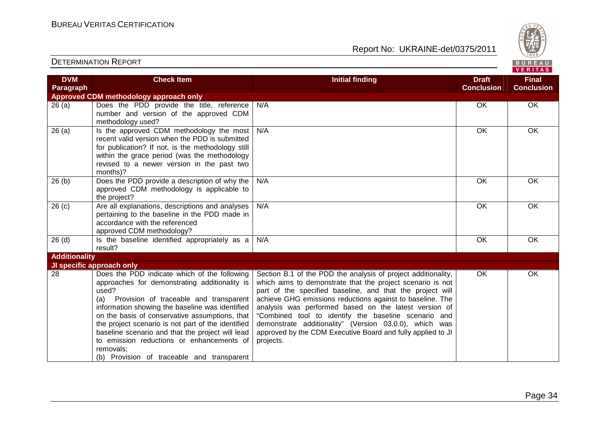

|                         |                                                                                                                                                                                                                                                                                                                                                                                                                                                                                |                                                                                                                                                                                                                                                                                                                                                                                                                                                                                                              |                                   | VERITAS                           |
|-------------------------|--------------------------------------------------------------------------------------------------------------------------------------------------------------------------------------------------------------------------------------------------------------------------------------------------------------------------------------------------------------------------------------------------------------------------------------------------------------------------------|--------------------------------------------------------------------------------------------------------------------------------------------------------------------------------------------------------------------------------------------------------------------------------------------------------------------------------------------------------------------------------------------------------------------------------------------------------------------------------------------------------------|-----------------------------------|-----------------------------------|
| <b>DVM</b><br>Paragraph | <b>Check Item</b>                                                                                                                                                                                                                                                                                                                                                                                                                                                              | <b>Initial finding</b>                                                                                                                                                                                                                                                                                                                                                                                                                                                                                       | <b>Draft</b><br><b>Conclusion</b> | <b>Final</b><br><b>Conclusion</b> |
|                         | <b>Approved CDM methodology approach only</b>                                                                                                                                                                                                                                                                                                                                                                                                                                  |                                                                                                                                                                                                                                                                                                                                                                                                                                                                                                              |                                   |                                   |
| 26(a)                   | Does the PDD provide the title, reference<br>number and version of the approved CDM<br>methodology used?                                                                                                                                                                                                                                                                                                                                                                       | N/A                                                                                                                                                                                                                                                                                                                                                                                                                                                                                                          | OK                                | OK                                |
| 26(a)                   | Is the approved CDM methodology the most<br>recent valid version when the PDD is submitted<br>for publication? If not, is the methodology still<br>within the grace period (was the methodology<br>revised to a newer version in the past two<br>months)?                                                                                                                                                                                                                      | N/A                                                                                                                                                                                                                                                                                                                                                                                                                                                                                                          | OK                                | OK                                |
| 26(b)                   | Does the PDD provide a description of why the<br>approved CDM methodology is applicable to<br>the project?                                                                                                                                                                                                                                                                                                                                                                     | N/A                                                                                                                                                                                                                                                                                                                                                                                                                                                                                                          | OK                                | OK                                |
| 26(c)                   | Are all explanations, descriptions and analyses<br>pertaining to the baseline in the PDD made in<br>accordance with the referenced<br>approved CDM methodology?                                                                                                                                                                                                                                                                                                                | N/A                                                                                                                                                                                                                                                                                                                                                                                                                                                                                                          | OK                                | OK                                |
| 26(d)                   | Is the baseline identified appropriately as a<br>result?                                                                                                                                                                                                                                                                                                                                                                                                                       | N/A                                                                                                                                                                                                                                                                                                                                                                                                                                                                                                          | OK                                | OK                                |
| <b>Additionality</b>    |                                                                                                                                                                                                                                                                                                                                                                                                                                                                                |                                                                                                                                                                                                                                                                                                                                                                                                                                                                                                              |                                   |                                   |
|                         | JI specific approach only                                                                                                                                                                                                                                                                                                                                                                                                                                                      |                                                                                                                                                                                                                                                                                                                                                                                                                                                                                                              |                                   |                                   |
| 28                      | Does the PDD indicate which of the following<br>approaches for demonstrating additionality is<br>used?<br>Provision of traceable and transparent<br>(a)<br>information showing the baseline was identified<br>on the basis of conservative assumptions, that<br>the project scenario is not part of the identified<br>baseline scenario and that the project will lead<br>to emission reductions or enhancements of<br>removals:<br>(b) Provision of traceable and transparent | Section B.1 of the PDD the analysis of project additionality,<br>which aims to demonstrate that the project scenario is not<br>part of the specified baseline, and that the project will<br>achieve GHG emissions reductions against to baseline. The<br>analysis was performed based on the latest version of<br>"Combined tool to identify the baseline scenario and<br>demonstrate additionality" (Version 03.0.0), which was<br>approved by the CDM Executive Board and fully applied to JI<br>projects. | OK                                | OK                                |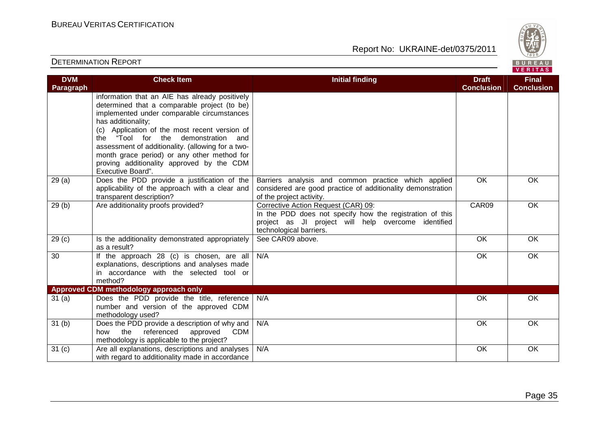

| <b>DVM</b>        | <b>Check Item</b>                                              | <b>Initial finding</b>                                      | <b>Draft</b>      | <b>Final</b>      |
|-------------------|----------------------------------------------------------------|-------------------------------------------------------------|-------------------|-------------------|
| <b>Paragraph</b>  |                                                                |                                                             | <b>Conclusion</b> | <b>Conclusion</b> |
|                   | information that an AIE has already positively                 |                                                             |                   |                   |
|                   | determined that a comparable project (to be)                   |                                                             |                   |                   |
|                   | implemented under comparable circumstances                     |                                                             |                   |                   |
|                   | has additionality;                                             |                                                             |                   |                   |
|                   | (c) Application of the most recent version of                  |                                                             |                   |                   |
|                   | the "Tool for the demonstration and                            |                                                             |                   |                   |
|                   | assessment of additionality. (allowing for a two-              |                                                             |                   |                   |
|                   | month grace period) or any other method for                    |                                                             |                   |                   |
|                   | proving additionality approved by the CDM<br>Executive Board". |                                                             |                   |                   |
| 29(a)             | Does the PDD provide a justification of the                    | Barriers analysis and common practice which applied         | OK                | OK                |
|                   | applicability of the approach with a clear and                 | considered are good practice of additionality demonstration |                   |                   |
|                   | transparent description?                                       | of the project activity.                                    |                   |                   |
| 29(b)             | Are additionality proofs provided?                             | Corrective Action Request (CAR) 09:                         | CAR09             | OK                |
|                   |                                                                | In the PDD does not specify how the registration of this    |                   |                   |
|                   |                                                                | project as JI project will help overcome identified         |                   |                   |
|                   |                                                                | technological barriers.                                     |                   |                   |
| 29 <sub>(c)</sub> | Is the additionality demonstrated appropriately                | See CAR09 above.                                            | $\overline{OK}$   | OK                |
|                   | as a result?                                                   |                                                             |                   |                   |
| 30                | If the approach 28 (c) is chosen, are all                      | N/A                                                         | OK                | OK                |
|                   | explanations, descriptions and analyses made                   |                                                             |                   |                   |
|                   | in accordance with the selected tool or<br>method?             |                                                             |                   |                   |
|                   | Approved CDM methodology approach only                         |                                                             |                   |                   |
| 31(a)             | Does the PDD provide the title, reference                      | N/A                                                         | OK                | OK                |
|                   | number and version of the approved CDM                         |                                                             |                   |                   |
|                   | methodology used?                                              |                                                             |                   |                   |
| 31 <sub>(b)</sub> | Does the PDD provide a description of why and                  | N/A                                                         | <b>OK</b>         | OK                |
|                   | referenced<br><b>CDM</b><br>the<br>approved<br>how             |                                                             |                   |                   |
|                   | methodology is applicable to the project?                      |                                                             |                   |                   |
| 31 <sub>(c)</sub> | Are all explanations, descriptions and analyses                | N/A                                                         | OK                | OK                |
|                   | with regard to additionality made in accordance                |                                                             |                   |                   |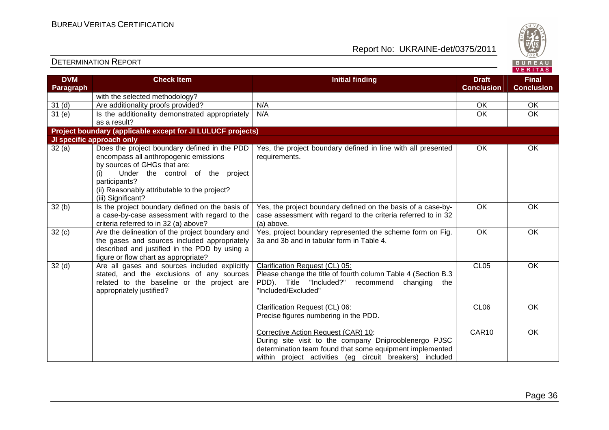BUREAU<br>VERITAS

#### Report No: UKRAINE-det/0375/2011

| <b>DVM</b>        | <b>Check Item</b>                                           | <b>Initial finding</b>                                         | <b>Draft</b>      | <b>Final</b>      |
|-------------------|-------------------------------------------------------------|----------------------------------------------------------------|-------------------|-------------------|
| Paragraph         |                                                             |                                                                | <b>Conclusion</b> | <b>Conclusion</b> |
|                   | with the selected methodology?                              |                                                                |                   |                   |
| 31 <sub>(d)</sub> | Are additionality proofs provided?                          | N/A                                                            | <b>OK</b>         | OK                |
| 31(e)             | Is the additionality demonstrated appropriately             | N/A                                                            | OK                | OK                |
|                   | as a result?                                                |                                                                |                   |                   |
|                   | Project boundary (applicable except for JI LULUCF projects) |                                                                |                   |                   |
|                   | JI specific approach only                                   |                                                                |                   |                   |
| 32(a)             | Does the project boundary defined in the PDD                | Yes, the project boundary defined in line with all presented   | <b>OK</b>         | OK                |
|                   | encompass all anthropogenic emissions                       | requirements.                                                  |                   |                   |
|                   | by sources of GHGs that are:                                |                                                                |                   |                   |
|                   | Under the control of the project<br>(i)                     |                                                                |                   |                   |
|                   | participants?                                               |                                                                |                   |                   |
|                   | (ii) Reasonably attributable to the project?                |                                                                |                   |                   |
|                   | (iii) Significant?                                          |                                                                |                   |                   |
| 32(b)             | Is the project boundary defined on the basis of             | Yes, the project boundary defined on the basis of a case-by-   | OK                | OK                |
|                   | a case-by-case assessment with regard to the                | case assessment with regard to the criteria referred to in 32  |                   |                   |
|                   | criteria referred to in 32 (a) above?                       | (a) above.                                                     |                   |                   |
| 32(c)             | Are the delineation of the project boundary and             | Yes, project boundary represented the scheme form on Fig.      | $\overline{OK}$   | OK                |
|                   | the gases and sources included appropriately                | 3a and 3b and in tabular form in Table 4.                      |                   |                   |
|                   | described and justified in the PDD by using a               |                                                                |                   |                   |
|                   | figure or flow chart as appropriate?                        |                                                                |                   |                   |
| 32 <sub>(d)</sub> | Are all gases and sources included explicitly               | Clarification Request (CL) 05:                                 | CL <sub>05</sub>  | <b>OK</b>         |
|                   | stated, and the exclusions of any sources                   | Please change the title of fourth column Table 4 (Section B.3) |                   |                   |
|                   | related to the baseline or the project are                  | "Included?"<br>PDD). Title<br>changing<br>recommend<br>the     |                   |                   |
|                   | appropriately justified?                                    | "Included/Excluded"                                            |                   |                   |
|                   |                                                             | Clarification Request (CL) 06:                                 | CL <sub>06</sub>  | <b>OK</b>         |
|                   |                                                             | Precise figures numbering in the PDD.                          |                   |                   |
|                   |                                                             |                                                                |                   |                   |
|                   |                                                             | Corrective Action Request (CAR) 10:                            | CAR10             | <b>OK</b>         |
|                   |                                                             | During site visit to the company Dniprooblenergo PJSC          |                   |                   |
|                   |                                                             | determination team found that some equipment implemented       |                   |                   |
|                   |                                                             | within project activities (eg circuit breakers) included       |                   |                   |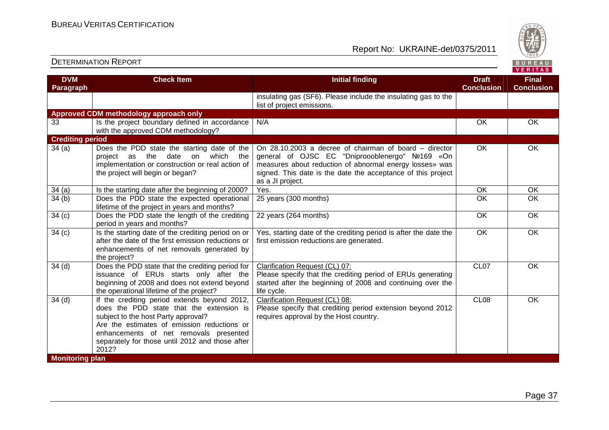

| <b>DVM</b>                                  | <b>Check Item</b>                                                                                                                                                                                                                                                                    | <b>Initial finding</b>                                                                                                                                                                                                                                   | <b>Draft</b>      | <b>Final</b>      |
|---------------------------------------------|--------------------------------------------------------------------------------------------------------------------------------------------------------------------------------------------------------------------------------------------------------------------------------------|----------------------------------------------------------------------------------------------------------------------------------------------------------------------------------------------------------------------------------------------------------|-------------------|-------------------|
| Paragraph                                   |                                                                                                                                                                                                                                                                                      |                                                                                                                                                                                                                                                          | <b>Conclusion</b> | <b>Conclusion</b> |
|                                             |                                                                                                                                                                                                                                                                                      | insulating gas (SF6). Please include the insulating gas to the<br>list of project emissions.                                                                                                                                                             |                   |                   |
|                                             | Approved CDM methodology approach only                                                                                                                                                                                                                                               |                                                                                                                                                                                                                                                          |                   |                   |
| 33                                          | Is the project boundary defined in accordance<br>with the approved CDM methodology?                                                                                                                                                                                                  | N/A                                                                                                                                                                                                                                                      | <b>OK</b>         | <b>OK</b>         |
| <b>Crediting period</b>                     |                                                                                                                                                                                                                                                                                      |                                                                                                                                                                                                                                                          |                   |                   |
| 34(a)                                       | Does the PDD state the starting date of the<br>which the<br>date<br>the<br>on<br>project as<br>implementation or construction or real action of<br>the project will begin or began?                                                                                                  | On 28.10.2003 a decree of chairman of board – director<br>general of OJSC EC "Dniproooblenergo" Nº169 «On<br>measures about reduction of abnormal energy losses» was<br>signed. This date is the date the acceptance of this project<br>as a JI project. | <b>OK</b>         | OK                |
| 34(a)                                       | Is the starting date after the beginning of 2000?                                                                                                                                                                                                                                    | Yes.                                                                                                                                                                                                                                                     | OK                | OK                |
| 34(b)                                       | Does the PDD state the expected operational<br>lifetime of the project in years and months?                                                                                                                                                                                          | 25 years (300 months)                                                                                                                                                                                                                                    | $\overline{OK}$   | $\overline{OK}$   |
| 34 <sub>(c)</sub>                           | Does the PDD state the length of the crediting<br>period in years and months?                                                                                                                                                                                                        | 22 years (264 months)                                                                                                                                                                                                                                    | <b>OK</b>         | <b>OK</b>         |
| 34 <sub>(c)</sub>                           | Is the starting date of the crediting period on or<br>after the date of the first emission reductions or<br>enhancements of net removals generated by<br>the project?                                                                                                                | Yes, starting date of the crediting period is after the date the<br>first emission reductions are generated.                                                                                                                                             | $\overline{OK}$   | OK                |
| 34 <sub>(d)</sub>                           | Does the PDD state that the crediting period for<br>issuance of ERUs starts only after the<br>beginning of 2008 and does not extend beyond<br>the operational lifetime of the project?                                                                                               | Clarification Request (CL) 07:<br>Please specify that the crediting period of ERUs generating<br>started after the beginning of 2008 and continuing over the<br>life cycle.                                                                              | CL <sub>07</sub>  | <b>OK</b>         |
| 34 <sub>(d)</sub><br><b>Monitoring plan</b> | If the crediting period extends beyond 2012,<br>does the PDD state that the extension is<br>subject to the host Party approval?<br>Are the estimates of emission reductions or<br>enhancements of net removals presented<br>separately for those until 2012 and those after<br>2012? | Clarification Request (CL) 08:<br>Please specify that crediting period extension beyond 2012<br>requires approval by the Host country.                                                                                                                   | CL <sub>08</sub>  | OK                |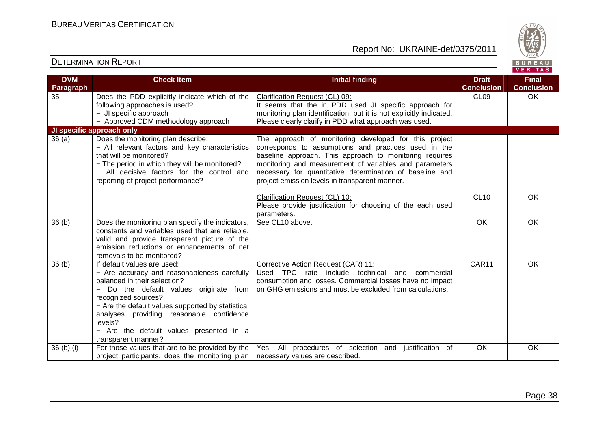

| <b>DVM</b>        | <b>Check Item</b>                                                                                                                                                                                                                                                                                                                                       | <b>Initial finding</b>                                                                                                                                                                                                                                                                                                                           | <b>Draft</b>      | <b>Final</b>      |
|-------------------|---------------------------------------------------------------------------------------------------------------------------------------------------------------------------------------------------------------------------------------------------------------------------------------------------------------------------------------------------------|--------------------------------------------------------------------------------------------------------------------------------------------------------------------------------------------------------------------------------------------------------------------------------------------------------------------------------------------------|-------------------|-------------------|
| Paragraph         |                                                                                                                                                                                                                                                                                                                                                         |                                                                                                                                                                                                                                                                                                                                                  | <b>Conclusion</b> | <b>Conclusion</b> |
| 35                | Does the PDD explicitly indicate which of the                                                                                                                                                                                                                                                                                                           | Clarification Request (CL) 09:                                                                                                                                                                                                                                                                                                                   | CL <sub>09</sub>  | <b>OK</b>         |
|                   | following approaches is used?                                                                                                                                                                                                                                                                                                                           | It seems that the in PDD used JI specific approach for                                                                                                                                                                                                                                                                                           |                   |                   |
|                   | - JI specific approach                                                                                                                                                                                                                                                                                                                                  | monitoring plan identification, but it is not explicitly indicated.                                                                                                                                                                                                                                                                              |                   |                   |
|                   | - Approved CDM methodology approach                                                                                                                                                                                                                                                                                                                     | Please clearly clarify in PDD what approach was used.                                                                                                                                                                                                                                                                                            |                   |                   |
|                   | JI specific approach only                                                                                                                                                                                                                                                                                                                               |                                                                                                                                                                                                                                                                                                                                                  |                   |                   |
| 36(a)             | Does the monitoring plan describe:<br>- All relevant factors and key characteristics<br>that will be monitored?<br>- The period in which they will be monitored?<br>- All decisive factors for the control and<br>reporting of project performance?                                                                                                     | The approach of monitoring developed for this project<br>corresponds to assumptions and practices used in the<br>baseline approach. This approach to monitoring requires<br>monitoring and measurement of variables and parameters<br>necessary for quantitative determination of baseline and<br>project emission levels in transparent manner. |                   |                   |
|                   |                                                                                                                                                                                                                                                                                                                                                         | Clarification Request (CL) 10:<br>Please provide justification for choosing of the each used<br>parameters.                                                                                                                                                                                                                                      | <b>CL10</b>       | OK                |
| 36 <sub>(b)</sub> | Does the monitoring plan specify the indicators,<br>constants and variables used that are reliable,<br>valid and provide transparent picture of the<br>emission reductions or enhancements of net<br>removals to be monitored?                                                                                                                          | See CL10 above.                                                                                                                                                                                                                                                                                                                                  | $\overline{OK}$   | OK                |
| 36 <sub>(b)</sub> | If default values are used:<br>- Are accuracy and reasonableness carefully<br>balanced in their selection?<br>Do the default values originate from<br>recognized sources?<br>- Are the default values supported by statistical<br>analyses providing reasonable confidence<br>levels?<br>- Are the default values presented in a<br>transparent manner? | Corrective Action Request (CAR) 11:<br>Used TPC rate include technical and<br>commercial<br>consumption and losses. Commercial losses have no impact<br>on GHG emissions and must be excluded from calculations.                                                                                                                                 | CAR11             | OK                |
| 36 (b) (i)        | For those values that are to be provided by the<br>project participants, does the monitoring plan                                                                                                                                                                                                                                                       | Yes. All procedures of selection and justification of<br>necessary values are described.                                                                                                                                                                                                                                                         | OK                | OK                |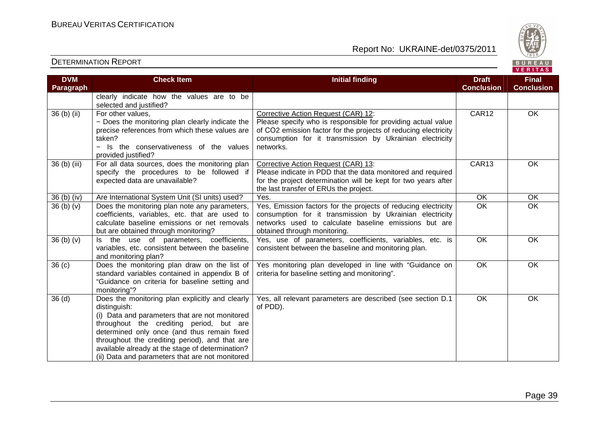

| <b>DVM</b>        | <b>Check Item</b>                                | <b>Initial finding</b>                                          | <b>Draft</b>      | <b>Final</b>      |
|-------------------|--------------------------------------------------|-----------------------------------------------------------------|-------------------|-------------------|
| Paragraph         |                                                  |                                                                 | <b>Conclusion</b> | <b>Conclusion</b> |
|                   | clearly indicate how the values are to be        |                                                                 |                   |                   |
|                   | selected and justified?                          |                                                                 |                   |                   |
| 36 (b) (ii)       | For other values,                                | Corrective Action Request (CAR) 12:                             | CAR12             | OK                |
|                   | - Does the monitoring plan clearly indicate the  | Please specify who is responsible for providing actual value    |                   |                   |
|                   | precise references from which these values are   | of CO2 emission factor for the projects of reducing electricity |                   |                   |
|                   | taken?                                           | consumption for it transmission by Ukrainian electricity        |                   |                   |
|                   | - Is the conservativeness of the values          | networks.                                                       |                   |                   |
|                   | provided justified?                              |                                                                 |                   |                   |
| 36 (b) (iii)      | For all data sources, does the monitoring plan   | Corrective Action Request (CAR) 13:                             | CAR13             | OK                |
|                   | specify the procedures to be followed if         | Please indicate in PDD that the data monitored and required     |                   |                   |
|                   | expected data are unavailable?                   | for the project determination will be kept for two years after  |                   |                   |
|                   |                                                  | the last transfer of ERUs the project.                          |                   |                   |
| 36 (b) (iv)       | Are International System Unit (SI units) used?   | Yes.                                                            | OK                | OK                |
| 36(b)(v)          | Does the monitoring plan note any parameters,    | Yes, Emission factors for the projects of reducing electricity  | $\overline{OK}$   | $\overline{OK}$   |
|                   | coefficients, variables, etc. that are used to   | consumption for it transmission by Ukrainian electricity        |                   |                   |
|                   | calculate baseline emissions or net removals     | networks used to calculate baseline emissions but are           |                   |                   |
|                   | but are obtained through monitoring?             | obtained through monitoring.                                    |                   |                   |
| 36 (b) (v)        | Is the use of parameters, coefficients,          | Yes, use of parameters, coefficients, variables, etc. is        | OK                | OK                |
|                   | variables, etc. consistent between the baseline  | consistent between the baseline and monitoring plan.            |                   |                   |
|                   | and monitoring plan?                             |                                                                 |                   |                   |
| 36 <sub>(c)</sub> | Does the monitoring plan draw on the list of     | Yes monitoring plan developed in line with "Guidance on         | $\overline{OK}$   | OK                |
|                   | standard variables contained in appendix B of    | criteria for baseline setting and monitoring".                  |                   |                   |
|                   | "Guidance on criteria for baseline setting and   |                                                                 |                   |                   |
|                   | monitoring"?                                     |                                                                 |                   |                   |
| 36 <sub>(d)</sub> | Does the monitoring plan explicitly and clearly  | Yes, all relevant parameters are described (see section D.1     | OK                | OK                |
|                   | distinguish:                                     | of PDD).                                                        |                   |                   |
|                   | (i) Data and parameters that are not monitored   |                                                                 |                   |                   |
|                   | throughout the crediting period, but are         |                                                                 |                   |                   |
|                   | determined only once (and thus remain fixed      |                                                                 |                   |                   |
|                   | throughout the crediting period), and that are   |                                                                 |                   |                   |
|                   | available already at the stage of determination? |                                                                 |                   |                   |
|                   | (ii) Data and parameters that are not monitored  |                                                                 |                   |                   |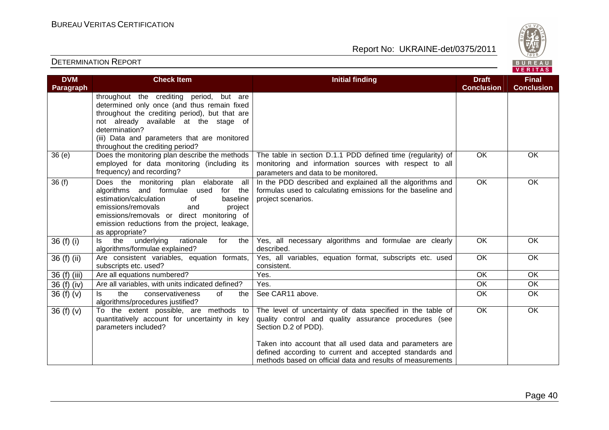

| <b>DVM</b><br><b>Paragraph</b> | <b>Check Item</b>                                                                                                                                                                                                                                                                        | <b>Initial finding</b>                                                                                                                                                                                                                                                                                                           | <b>Draft</b><br><b>Conclusion</b> | <b>Final</b><br><b>Conclusion</b> |
|--------------------------------|------------------------------------------------------------------------------------------------------------------------------------------------------------------------------------------------------------------------------------------------------------------------------------------|----------------------------------------------------------------------------------------------------------------------------------------------------------------------------------------------------------------------------------------------------------------------------------------------------------------------------------|-----------------------------------|-----------------------------------|
|                                | throughout the crediting period, but are<br>determined only once (and thus remain fixed<br>throughout the crediting period), but that are<br>not already available at the stage of<br>determination?<br>(iii) Data and parameters that are monitored<br>throughout the crediting period? |                                                                                                                                                                                                                                                                                                                                  |                                   |                                   |
| 36(e)                          | Does the monitoring plan describe the methods<br>employed for data monitoring (including its<br>frequency) and recording?                                                                                                                                                                | The table in section D.1.1 PDD defined time (regularity) of<br>monitoring and information sources with respect to all<br>parameters and data to be monitored.                                                                                                                                                                    | $\overline{OK}$                   | OK                                |
| 36(f)                          | Does the monitoring plan elaborate all<br>algorithms and formulae used<br>for the<br>estimation/calculation<br>baseline<br>of<br>emissions/removals<br>and<br>project<br>emissions/removals or direct monitoring of<br>emission reductions from the project, leakage,<br>as appropriate? | In the PDD described and explained all the algorithms and<br>formulas used to calculating emissions for the baseline and<br>project scenarios.                                                                                                                                                                                   | <b>OK</b>                         | OK                                |
| 36 (f) (i)                     | the<br>underlying<br>rationale<br>the<br>for<br>$\mathsf{ls}$<br>algorithms/formulae explained?                                                                                                                                                                                          | Yes, all necessary algorithms and formulae are clearly<br>described.                                                                                                                                                                                                                                                             | <b>OK</b>                         | <b>OK</b>                         |
| 36 (f) (ii)                    | Are consistent variables, equation formats,<br>subscripts etc. used?                                                                                                                                                                                                                     | Yes, all variables, equation format, subscripts etc. used<br>consistent.                                                                                                                                                                                                                                                         | $\overline{OK}$                   | OK                                |
| 36 (f) (iii)                   | Are all equations numbered?                                                                                                                                                                                                                                                              | Yes.                                                                                                                                                                                                                                                                                                                             | $\overline{OK}$                   | $\overline{OK}$                   |
| 36 (f) (iv)                    | Are all variables, with units indicated defined?                                                                                                                                                                                                                                         | Yes.                                                                                                                                                                                                                                                                                                                             | OK                                | OK                                |
| 36(f)(v)                       | the<br>ls.<br>conservativeness<br>of<br>the<br>algorithms/procedures justified?                                                                                                                                                                                                          | See CAR11 above.                                                                                                                                                                                                                                                                                                                 | OK                                | <b>OK</b>                         |
| 36 $(f)(v)$                    | To the extent possible, are methods to<br>quantitatively account for uncertainty in key<br>parameters included?                                                                                                                                                                          | The level of uncertainty of data specified in the table of<br>quality control and quality assurance procedures (see<br>Section D.2 of PDD).<br>Taken into account that all used data and parameters are<br>defined according to current and accepted standards and<br>methods based on official data and results of measurements | <b>OK</b>                         | OK                                |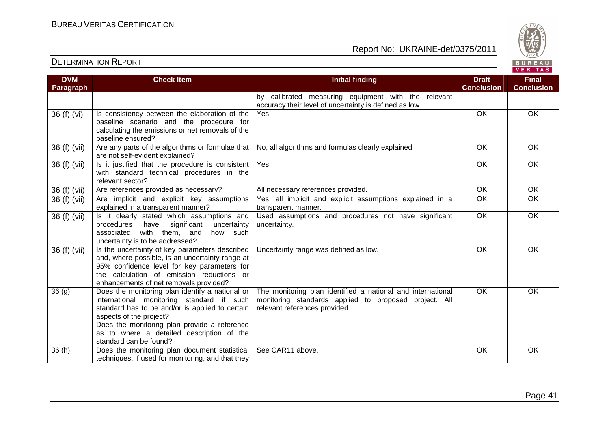



| <b>DVM</b>   | <b>Check Item</b>                                                                            | <b>Initial finding</b>                                      | <b>Draft</b>      | <b>Final</b>      |
|--------------|----------------------------------------------------------------------------------------------|-------------------------------------------------------------|-------------------|-------------------|
| Paragraph    |                                                                                              |                                                             | <b>Conclusion</b> | <b>Conclusion</b> |
|              |                                                                                              | by calibrated measuring equipment with the relevant         |                   |                   |
|              |                                                                                              | accuracy their level of uncertainty is defined as low.      |                   |                   |
| 36 (f) (vi)  | Is consistency between the elaboration of the                                                | Yes.                                                        | OK                | OK                |
|              | baseline scenario and the procedure for                                                      |                                                             |                   |                   |
|              | calculating the emissions or net removals of the                                             |                                                             |                   |                   |
|              | baseline ensured?                                                                            |                                                             |                   |                   |
| 36 (f) (vii) | Are any parts of the algorithms or formulae that<br>are not self-evident explained?          | No, all algorithms and formulas clearly explained           | OK                | OK                |
| 36 (f) (vii) | Is it justified that the procedure is consistent                                             | Yes.                                                        | OK                | OK                |
|              | with standard technical procedures in the                                                    |                                                             |                   |                   |
|              | relevant sector?                                                                             |                                                             |                   |                   |
| 36 (f) (vii) | Are references provided as necessary?                                                        | All necessary references provided.                          | OK                | $\overline{OK}$   |
| 36 (f) (vii) | Are implicit and explicit key assumptions                                                    | Yes, all implicit and explicit assumptions explained in a   | OK                | OK                |
|              | explained in a transparent manner?                                                           | transparent manner.                                         |                   |                   |
| 36 (f) (vii) | Is it clearly stated which assumptions and                                                   | Used assumptions and procedures not have significant        | OK                | OK                |
|              | significant<br>procedures<br>have<br>uncertainty<br>with them, and<br>associated<br>how such | uncertainty.                                                |                   |                   |
|              | uncertainty is to be addressed?                                                              |                                                             |                   |                   |
| 36 (f) (vii) | Is the uncertainty of key parameters described                                               | Uncertainty range was defined as low.                       | OK                | OK                |
|              | and, where possible, is an uncertainty range at                                              |                                                             |                   |                   |
|              | 95% confidence level for key parameters for                                                  |                                                             |                   |                   |
|              | the calculation of emission reductions or                                                    |                                                             |                   |                   |
|              | enhancements of net removals provided?                                                       |                                                             |                   |                   |
| 36(9)        | Does the monitoring plan identify a national or                                              | The monitoring plan identified a national and international | $\overline{OK}$   | OK                |
|              | international monitoring standard if such                                                    | monitoring standards applied to proposed project. All       |                   |                   |
|              | standard has to be and/or is applied to certain                                              | relevant references provided.                               |                   |                   |
|              | aspects of the project?                                                                      |                                                             |                   |                   |
|              | Does the monitoring plan provide a reference                                                 |                                                             |                   |                   |
|              | as to where a detailed description of the                                                    |                                                             |                   |                   |
|              | standard can be found?                                                                       |                                                             |                   |                   |
| 36(h)        | Does the monitoring plan document statistical                                                | See CAR11 above.                                            | OK                | OK                |
|              | techniques, if used for monitoring, and that they                                            |                                                             |                   |                   |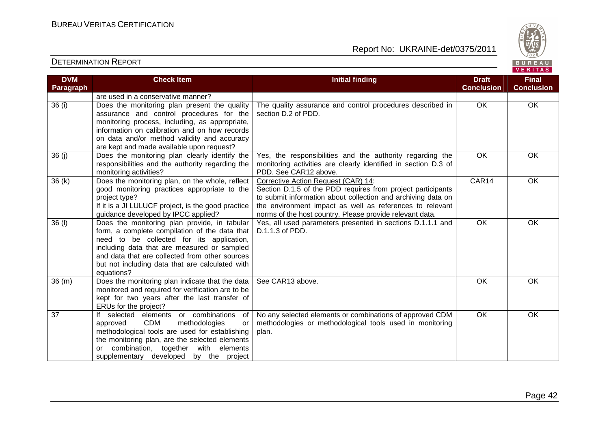

| <b>DVM</b> | <b>Check Item</b>                                    | <b>Initial finding</b>                                         | <b>Draft</b>      | <b>Final</b>      |
|------------|------------------------------------------------------|----------------------------------------------------------------|-------------------|-------------------|
| Paragraph  |                                                      |                                                                | <b>Conclusion</b> | <b>Conclusion</b> |
|            | are used in a conservative manner?                   |                                                                |                   |                   |
| 36(i)      | Does the monitoring plan present the quality         | The quality assurance and control procedures described in      | OK                | OK                |
|            | assurance and control procedures for the             | section D.2 of PDD.                                            |                   |                   |
|            | monitoring process, including, as appropriate,       |                                                                |                   |                   |
|            | information on calibration and on how records        |                                                                |                   |                   |
|            | on data and/or method validity and accuracy          |                                                                |                   |                   |
|            | are kept and made available upon request?            |                                                                |                   |                   |
| 36(j)      | Does the monitoring plan clearly identify the        | Yes, the responsibilities and the authority regarding the      | OK                | OK                |
|            | responsibilities and the authority regarding the     | monitoring activities are clearly identified in section D.3 of |                   |                   |
|            | monitoring activities?                               | PDD. See CAR12 above.                                          |                   |                   |
| 36(k)      | Does the monitoring plan, on the whole, reflect      | Corrective Action Request (CAR) 14:                            | CAR14             | OK                |
|            | good monitoring practices appropriate to the         | Section D.1.5 of the PDD requires from project participants    |                   |                   |
|            | project type?                                        | to submit information about collection and archiving data on   |                   |                   |
|            | If it is a JI LULUCF project, is the good practice   | the environment impact as well as references to relevant       |                   |                   |
|            | guidance developed by IPCC applied?                  | norms of the host country. Please provide relevant data.       |                   |                   |
| $36$ (l)   | Does the monitoring plan provide, in tabular         | Yes, all used parameters presented in sections D.1.1.1 and     | OK                | OK                |
|            | form, a complete compilation of the data that        | D.1.1.3 of PDD.                                                |                   |                   |
|            | need to be collected for its application,            |                                                                |                   |                   |
|            | including data that are measured or sampled          |                                                                |                   |                   |
|            | and data that are collected from other sources       |                                                                |                   |                   |
|            | but not including data that are calculated with      |                                                                |                   |                   |
|            | equations?                                           |                                                                |                   |                   |
| 36(m)      | Does the monitoring plan indicate that the data      | See CAR13 above.                                               | OK                | OK                |
|            | monitored and required for verification are to be    |                                                                |                   |                   |
|            | kept for two years after the last transfer of        |                                                                |                   |                   |
|            | ERUs for the project?                                |                                                                |                   |                   |
| 37         | If selected elements or combinations<br>of           | No any selected elements or combinations of approved CDM       | $\overline{OK}$   | OK                |
|            | <b>CDM</b><br>approved<br>methodologies<br><b>or</b> | methodologies or methodological tools used in monitoring       |                   |                   |
|            | methodological tools are used for establishing       | plan.                                                          |                   |                   |
|            | the monitoring plan, are the selected elements       |                                                                |                   |                   |
|            | or combination, together with elements               |                                                                |                   |                   |
|            | supplementary developed by the project               |                                                                |                   |                   |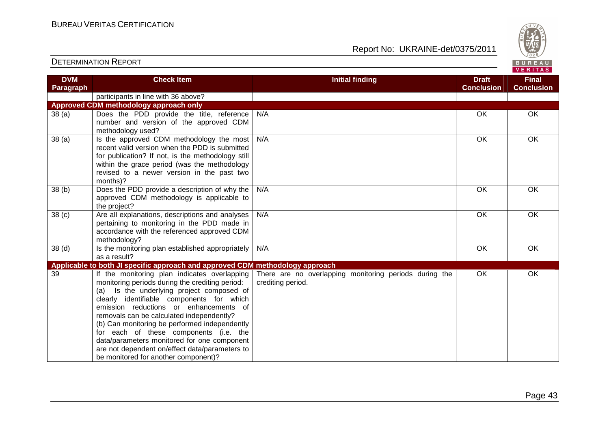

| <b>DVM</b>        | <b>Check Item</b>                                                                                                                                                                                                                                                                                                                                                                                                                                                                                                    | <b>Initial finding</b>                                                      | <b>Draft</b>      | <b>Final</b>      |
|-------------------|----------------------------------------------------------------------------------------------------------------------------------------------------------------------------------------------------------------------------------------------------------------------------------------------------------------------------------------------------------------------------------------------------------------------------------------------------------------------------------------------------------------------|-----------------------------------------------------------------------------|-------------------|-------------------|
| Paragraph         |                                                                                                                                                                                                                                                                                                                                                                                                                                                                                                                      |                                                                             | <b>Conclusion</b> | <b>Conclusion</b> |
|                   | participants in line with 36 above?                                                                                                                                                                                                                                                                                                                                                                                                                                                                                  |                                                                             |                   |                   |
|                   | Approved CDM methodology approach only                                                                                                                                                                                                                                                                                                                                                                                                                                                                               |                                                                             |                   |                   |
| 38(a)             | Does the PDD provide the title, reference<br>number and version of the approved CDM                                                                                                                                                                                                                                                                                                                                                                                                                                  | N/A                                                                         | OK                | OK                |
|                   | methodology used?                                                                                                                                                                                                                                                                                                                                                                                                                                                                                                    |                                                                             |                   |                   |
| 38(a)             | Is the approved CDM methodology the most<br>recent valid version when the PDD is submitted<br>for publication? If not, is the methodology still<br>within the grace period (was the methodology<br>revised to a newer version in the past two<br>months)?                                                                                                                                                                                                                                                            | N/A                                                                         | OK                | OK                |
| 38(b)             | Does the PDD provide a description of why the<br>approved CDM methodology is applicable to<br>the project?                                                                                                                                                                                                                                                                                                                                                                                                           | N/A                                                                         | OK                | OK                |
| 38 <sub>(c)</sub> | Are all explanations, descriptions and analyses<br>pertaining to monitoring in the PDD made in<br>accordance with the referenced approved CDM<br>methodology?                                                                                                                                                                                                                                                                                                                                                        | N/A                                                                         | OK                | $\overline{OK}$   |
| 38 <sub>(d)</sub> | Is the monitoring plan established appropriately<br>as a result?                                                                                                                                                                                                                                                                                                                                                                                                                                                     | N/A                                                                         | OK                | OK                |
|                   | Applicable to both JI specific approach and approved CDM methodology approach                                                                                                                                                                                                                                                                                                                                                                                                                                        |                                                                             |                   |                   |
| 39                | If the monitoring plan indicates overlapping<br>monitoring periods during the crediting period:<br>(a) Is the underlying project composed of<br>clearly identifiable components for which<br>emission reductions or enhancements of<br>removals can be calculated independently?<br>(b) Can monitoring be performed independently<br>for each of these components (i.e. the<br>data/parameters monitored for one component<br>are not dependent on/effect data/parameters to<br>be monitored for another component)? | There are no overlapping monitoring periods during the<br>crediting period. | OK                | OK                |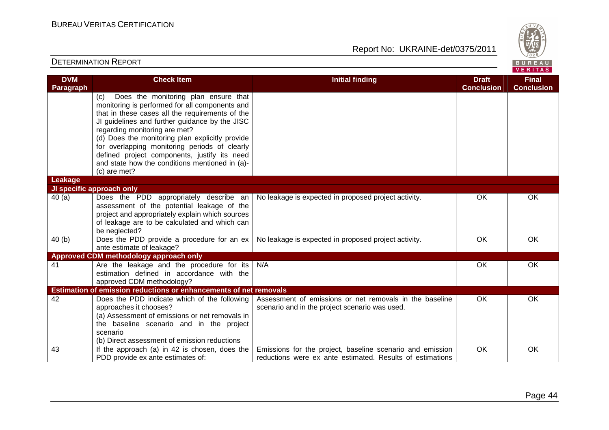Report No: UKRAINE-det/0375/2011



#### **VERITAS Check Item Initial finding Check Item Initial finding Check Item Initial finding Check Item Initial finding Check DVM Final Paragraph Conclusion Conclusion** (c) Does the monitoring plan ensure that monitoring is performed for all components and that in these cases all the requirements of the JI guidelines and further guidance by the JISC regarding monitoring are met? (d) Does the monitoring plan explicitly provide for overlapping monitoring periods of clearly defined project components, justify its need and state how the conditions mentioned in (a)-(c) are met? **Leakage JI specific approach only** No leakage is expected in proposed project activity. The COK COK CONSERVIATION CONSERVATION OR 40 (a) Does the PDD appropriately describe an assessment of the potential leakage of the project and appropriately explain which sources of leakage are to be calculated and which can be neglected? 40 (b) Does the PDD provide a procedure for an ex No leakage is expected in proposed project activity. The OK COK CONSERVIATION OR ante estimate of leakage? **Approved CDM methodology approach only**  41 Are the leakage and the procedure for its N/A OK OK OK estimation defined in accordance with the approved CDM methodology? **Estimation of emission reductions or enhancements of net removals** 42 Does the PDD indicate which of the following Assessment of emissions or net removals in the baseline OK OK approaches it chooses? scenario and in the project scenario was used. (a) Assessment of emissions or net removals in the baseline scenario and in the project scenario (b) Direct assessment of emission reductions 43 If the approach (a) in 42 is chosen, does the Emissions for the project, baseline scenario and emission OK OK PDD provide ex ante estimates of: reductions were ex ante estimated. Results of estimations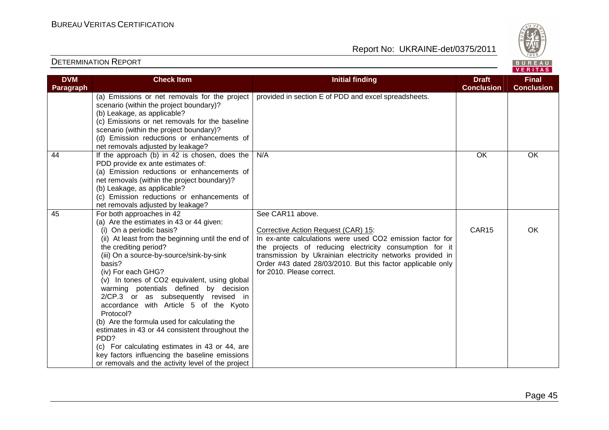

| <b>DVM</b> | <b>Check Item</b>                                 | <b>Initial finding</b>                                      | <b>Draft</b>      | <b>Final</b>      |
|------------|---------------------------------------------------|-------------------------------------------------------------|-------------------|-------------------|
| Paragraph  |                                                   |                                                             | <b>Conclusion</b> | <b>Conclusion</b> |
|            | (a) Emissions or net removals for the project     | provided in section E of PDD and excel spreadsheets.        |                   |                   |
|            | scenario (within the project boundary)?           |                                                             |                   |                   |
|            | (b) Leakage, as applicable?                       |                                                             |                   |                   |
|            | (c) Emissions or net removals for the baseline    |                                                             |                   |                   |
|            | scenario (within the project boundary)?           |                                                             |                   |                   |
|            | (d) Emission reductions or enhancements of        |                                                             |                   |                   |
|            | net removals adjusted by leakage?                 |                                                             |                   |                   |
| 44         | If the approach (b) in 42 is chosen, does the     | N/A                                                         | OK                | <b>OK</b>         |
|            | PDD provide ex ante estimates of:                 |                                                             |                   |                   |
|            | (a) Emission reductions or enhancements of        |                                                             |                   |                   |
|            | net removals (within the project boundary)?       |                                                             |                   |                   |
|            | (b) Leakage, as applicable?                       |                                                             |                   |                   |
|            | (c) Emission reductions or enhancements of        |                                                             |                   |                   |
|            | net removals adjusted by leakage?                 |                                                             |                   |                   |
| 45         | For both approaches in 42                         | See CAR11 above.                                            |                   |                   |
|            | (a) Are the estimates in 43 or 44 given:          |                                                             |                   |                   |
|            | (i) On a periodic basis?                          | Corrective Action Request (CAR) 15:                         | CAR15             | OK                |
|            | (ii) At least from the beginning until the end of | In ex-ante calculations were used CO2 emission factor for   |                   |                   |
|            | the crediting period?                             | the projects of reducing electricity consumption for it     |                   |                   |
|            | (iii) On a source-by-source/sink-by-sink          | transmission by Ukrainian electricity networks provided in  |                   |                   |
|            | basis?                                            | Order #43 dated 28/03/2010. But this factor applicable only |                   |                   |
|            | (iv) For each GHG?                                | for 2010. Please correct.                                   |                   |                   |
|            | (v) In tones of CO2 equivalent, using global      |                                                             |                   |                   |
|            | warming potentials defined by decision            |                                                             |                   |                   |
|            | 2/CP.3 or as subsequently revised in              |                                                             |                   |                   |
|            | accordance with Article 5 of the Kyoto            |                                                             |                   |                   |
|            | Protocol?                                         |                                                             |                   |                   |
|            | (b) Are the formula used for calculating the      |                                                             |                   |                   |
|            | estimates in 43 or 44 consistent throughout the   |                                                             |                   |                   |
|            | PDD?                                              |                                                             |                   |                   |
|            | (c) For calculating estimates in 43 or 44, are    |                                                             |                   |                   |
|            | key factors influencing the baseline emissions    |                                                             |                   |                   |
|            | or removals and the activity level of the project |                                                             |                   |                   |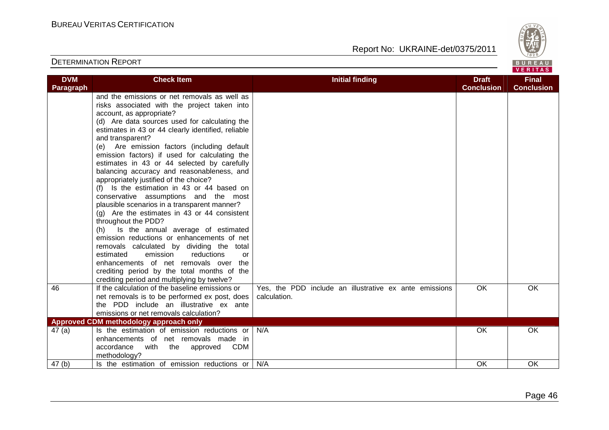

| <b>DVM</b>        | <b>Check Item</b>                                  | <b>Initial finding</b>                                 | <b>Draft</b>      | <b>Final</b>      |
|-------------------|----------------------------------------------------|--------------------------------------------------------|-------------------|-------------------|
| Paragraph         |                                                    |                                                        | <b>Conclusion</b> | <b>Conclusion</b> |
|                   | and the emissions or net removals as well as       |                                                        |                   |                   |
|                   | risks associated with the project taken into       |                                                        |                   |                   |
|                   | account, as appropriate?                           |                                                        |                   |                   |
|                   | (d) Are data sources used for calculating the      |                                                        |                   |                   |
|                   | estimates in 43 or 44 clearly identified, reliable |                                                        |                   |                   |
|                   | and transparent?                                   |                                                        |                   |                   |
|                   | (e) Are emission factors (including default        |                                                        |                   |                   |
|                   | emission factors) if used for calculating the      |                                                        |                   |                   |
|                   | estimates in 43 or 44 selected by carefully        |                                                        |                   |                   |
|                   | balancing accuracy and reasonableness, and         |                                                        |                   |                   |
|                   | appropriately justified of the choice?             |                                                        |                   |                   |
|                   | (f) Is the estimation in 43 or 44 based on         |                                                        |                   |                   |
|                   | conservative assumptions and the most              |                                                        |                   |                   |
|                   | plausible scenarios in a transparent manner?       |                                                        |                   |                   |
|                   | $(g)$ Are the estimates in 43 or 44 consistent     |                                                        |                   |                   |
|                   | throughout the PDD?                                |                                                        |                   |                   |
|                   | (h) Is the annual average of estimated             |                                                        |                   |                   |
|                   | emission reductions or enhancements of net         |                                                        |                   |                   |
|                   | removals calculated by dividing the total          |                                                        |                   |                   |
|                   | estimated<br>emission<br>reductions<br>or          |                                                        |                   |                   |
|                   | enhancements of net removals over the              |                                                        |                   |                   |
|                   | crediting period by the total months of the        |                                                        |                   |                   |
|                   | crediting period and multiplying by twelve?        |                                                        |                   |                   |
| 46                | If the calculation of the baseline emissions or    | Yes, the PDD include an illustrative ex ante emissions | OK                | OK                |
|                   | net removals is to be performed ex post, does      | calculation.                                           |                   |                   |
|                   | the PDD include an illustrative ex ante            |                                                        |                   |                   |
|                   | emissions or net removals calculation?             |                                                        |                   |                   |
|                   | Approved CDM methodology approach only             |                                                        |                   |                   |
| 47(a)             | Is the estimation of emission reductions or        | N/A                                                    | <b>OK</b>         | <b>OK</b>         |
|                   | enhancements of net removals made in               |                                                        |                   |                   |
|                   | accordance with<br>the approved<br>CDM             |                                                        |                   |                   |
|                   | methodology?                                       |                                                        |                   |                   |
| 47 <sub>(b)</sub> | Is the estimation of emission reductions or        | N/A                                                    | OK                | OK                |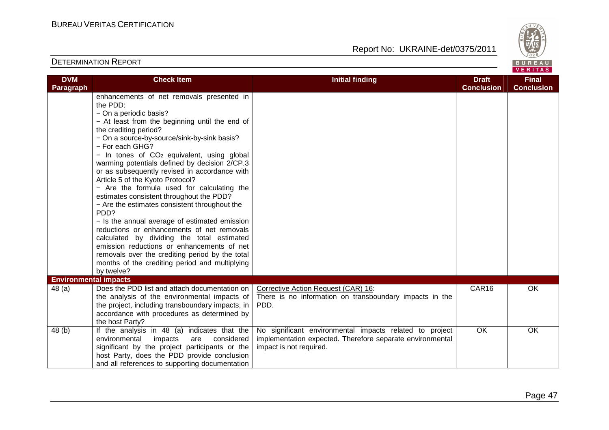

| <b>DVM</b><br><b>Paragraph</b>         | <b>Check Item</b>                                                                                                                                                                                                                                                                                                                                                                                                                                                                                                                                                                                                                                                                                                                                                                                                                                                                                  | <b>Initial finding</b>                                                                                                                          | <b>Draft</b><br><b>Conclusion</b> | <b>Final</b><br><b>Conclusion</b> |
|----------------------------------------|----------------------------------------------------------------------------------------------------------------------------------------------------------------------------------------------------------------------------------------------------------------------------------------------------------------------------------------------------------------------------------------------------------------------------------------------------------------------------------------------------------------------------------------------------------------------------------------------------------------------------------------------------------------------------------------------------------------------------------------------------------------------------------------------------------------------------------------------------------------------------------------------------|-------------------------------------------------------------------------------------------------------------------------------------------------|-----------------------------------|-----------------------------------|
|                                        | enhancements of net removals presented in<br>the PDD:<br>- On a periodic basis?<br>- At least from the beginning until the end of<br>the crediting period?<br>- On a source-by-source/sink-by-sink basis?<br>- For each GHG?<br>$-$ In tones of $CO2$ equivalent, using global<br>warming potentials defined by decision 2/CP.3<br>or as subsequently revised in accordance with<br>Article 5 of the Kyoto Protocol?<br>- Are the formula used for calculating the<br>estimates consistent throughout the PDD?<br>- Are the estimates consistent throughout the<br>PD <sub>D</sub> ?<br>- Is the annual average of estimated emission<br>reductions or enhancements of net removals<br>calculated by dividing the total estimated<br>emission reductions or enhancements of net<br>removals over the crediting period by the total<br>months of the crediting period and multiplying<br>by twelve? |                                                                                                                                                 |                                   |                                   |
| <b>Environmental impacts</b><br>48 (a) | Does the PDD list and attach documentation on<br>the analysis of the environmental impacts of<br>the project, including transboundary impacts, in<br>accordance with procedures as determined by<br>the host Party?                                                                                                                                                                                                                                                                                                                                                                                                                                                                                                                                                                                                                                                                                | Corrective Action Request (CAR) 16:<br>There is no information on transboundary impacts in the<br>PDD.                                          | CAR16                             | OK                                |
| 48 (b)                                 | If the analysis in 48 (a) indicates that the<br>environmental<br>impacts<br>considered<br>are<br>significant by the project participants or the<br>host Party, does the PDD provide conclusion<br>and all references to supporting documentation                                                                                                                                                                                                                                                                                                                                                                                                                                                                                                                                                                                                                                                   | No significant environmental impacts related to project<br>implementation expected. Therefore separate environmental<br>impact is not required. | OK                                | OK                                |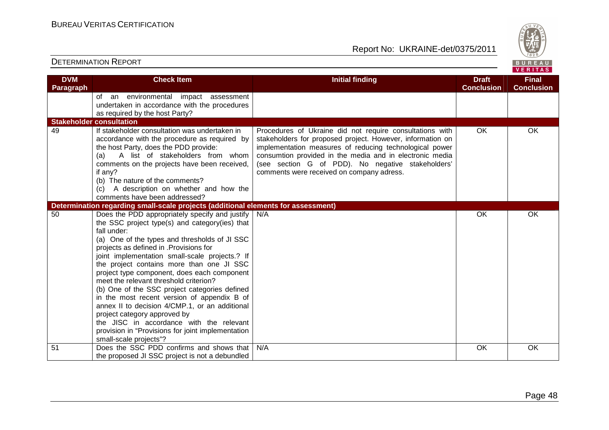Report No: UKRAINE-det/0375/2011



#### **VERITAS Check Item Initial finding Check Item Initial finding Check Item Initial finding Check Item Initial finding Check DVM Final Paragraph Conclusion Conclusion** of an environmental impact assessment undertaken in accordance with the procedures as required by the host Party? **Stakeholder consultation** 49 If stakeholder consultation was undertaken in Procedures of Ukraine did not require consultations with OK OK accordance with the procedure as required by stakeholders for proposed project. However, information on the host Party, does the PDD provide: implementation measures of reducing technological power (a) A list of stakeholders from whom consumtion provided in the media and in electronic media (see section G of PDD). No negative stakeholders' comments on the projects have been received, if any? comments were received on company adress. (b) The nature of the comments? (c) A description on whether and how the comments have been addressed? **Determination regarding small-scale projects (additional elements for assessment)** 50 Does the PDD appropriately specify and justify N/A OK OK OK the SSC project type(s) and category(ies) that fall under: (a) One of the types and thresholds of JI SSC projects as defined in .Provisions for joint implementation small-scale projects.? If the project contains more than one JI SSC project type component, does each component meet the relevant threshold criterion? (b) One of the SSC project categories defined in the most recent version of appendix B of annex II to decision 4/CMP.1, or an additional project category approved by the JISC in accordance with the relevant provision in "Provisions for joint implementation small-scale projects"? 51 Does the SSC PDD confirms and shows that N/A OK OK OK the proposed JI SSC project is not a debundled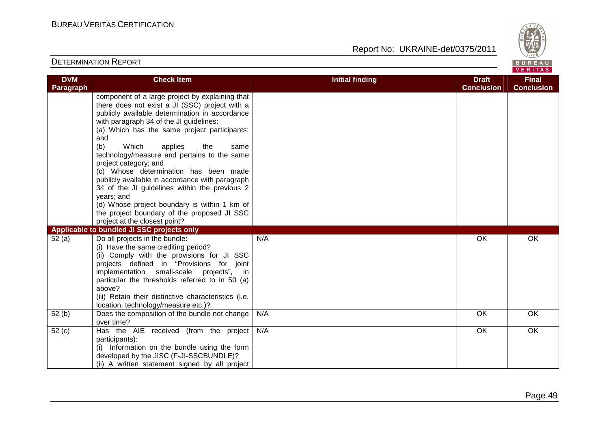

#### DETERMINATION REPORTVERITAS **Check Item Initial finding Check Item Initial finding Check Item Initial finding Check Item Initial finding Check DVM Final Paragraph Conclusion Conclusion** component of a large project by explaining that there does not exist a JI (SSC) project with a publicly available determination in accordance with paragraph 34 of the JI guidelines: (a) Which has the same project participants; and (b) Which applies the same technology/measure and pertains to the same project category; and (c) Whose determination has been made publicly available in accordance with paragraph 34 of the JI guidelines within the previous 2 years; and (d) Whose project boundary is within 1 km of the project boundary of the proposed JI SSC project at the closest point? **Applicable to bundled JI SSC projects only** 52 (a) Do all projects in the bundle: N/A OK OK OK (i) Have the same crediting period? (ii) Comply with the provisions for JI SSC projects defined in "Provisions for joint implementation small-scale projects", in particular the thresholds referred to in 50 (a) above? (iii) Retain their distinctive characteristics (i.e. location, technology/measure etc.)? 52 (b) Does the composition of the bundle not change N/A OK OK OK over time? 52 (c) Has the AIE received (from the project N/A OK OK OK participants): (i) Information on the bundle using the form developed by the JISC (F-JI-SSCBUNDLE)? (ii) A written statement signed by all project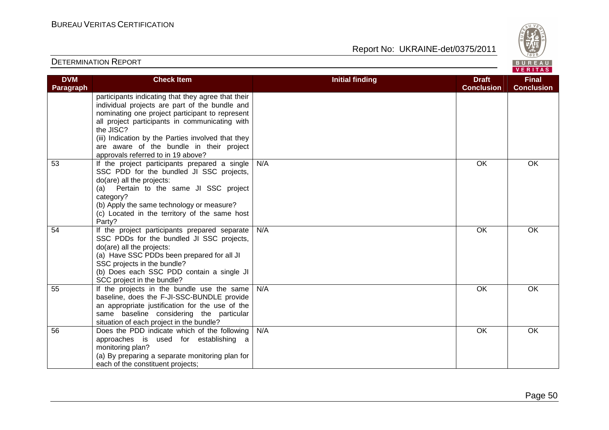

| <b>DVM</b>       | <b>Check Item</b>                                                                                                                                                                                                                                                                                                                                              | <b>Initial finding</b> | <b>Draft</b>      | <b>Final</b>      |
|------------------|----------------------------------------------------------------------------------------------------------------------------------------------------------------------------------------------------------------------------------------------------------------------------------------------------------------------------------------------------------------|------------------------|-------------------|-------------------|
| <b>Paragraph</b> |                                                                                                                                                                                                                                                                                                                                                                |                        | <b>Conclusion</b> | <b>Conclusion</b> |
|                  | participants indicating that they agree that their<br>individual projects are part of the bundle and<br>nominating one project participant to represent<br>all project participants in communicating with<br>the JISC?<br>(iii) Indication by the Parties involved that they<br>are aware of the bundle in their project<br>approvals referred to in 19 above? |                        |                   |                   |
| 53               | If the project participants prepared a single<br>SSC PDD for the bundled JI SSC projects,<br>do(are) all the projects:<br>Pertain to the same JI SSC project<br>(a)<br>category?<br>(b) Apply the same technology or measure?<br>(c) Located in the territory of the same host<br>Party?                                                                       | N/A                    | OK                | OK                |
| 54               | If the project participants prepared separate<br>SSC PDDs for the bundled JI SSC projects,<br>do(are) all the projects:<br>(a) Have SSC PDDs been prepared for all JI<br>SSC projects in the bundle?<br>(b) Does each SSC PDD contain a single JI<br>SCC project in the bundle?                                                                                | N/A                    | OK                | OK                |
| 55               | If the projects in the bundle use the same<br>baseline, does the F-JI-SSC-BUNDLE provide<br>an appropriate justification for the use of the<br>same baseline considering the particular<br>situation of each project in the bundle?                                                                                                                            | N/A                    | OK                | <b>OK</b>         |
| 56               | Does the PDD indicate which of the following<br>approaches is used for establishing a<br>monitoring plan?<br>(a) By preparing a separate monitoring plan for<br>each of the constituent projects;                                                                                                                                                              | N/A                    | OK                | OK                |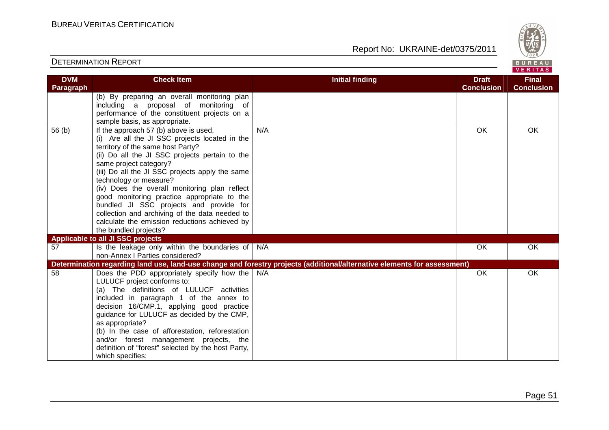

| <b>DVM</b><br>Paragraph | <b>Check Item</b>                                                                                                                                                                                                                                                                                                                                                                                                                                                                                                                   | <b>Initial finding</b>                                                                                                   | <b>Draft</b><br><b>Conclusion</b> | <b>Final</b><br><b>Conclusion</b> |
|-------------------------|-------------------------------------------------------------------------------------------------------------------------------------------------------------------------------------------------------------------------------------------------------------------------------------------------------------------------------------------------------------------------------------------------------------------------------------------------------------------------------------------------------------------------------------|--------------------------------------------------------------------------------------------------------------------------|-----------------------------------|-----------------------------------|
|                         | (b) By preparing an overall monitoring plan<br>including a proposal of monitoring of                                                                                                                                                                                                                                                                                                                                                                                                                                                |                                                                                                                          |                                   |                                   |
|                         | performance of the constituent projects on a<br>sample basis, as appropriate.                                                                                                                                                                                                                                                                                                                                                                                                                                                       |                                                                                                                          |                                   |                                   |
| 56(b)                   | If the approach 57 (b) above is used,<br>(i) Are all the JI SSC projects located in the<br>territory of the same host Party?<br>(ii) Do all the JI SSC projects pertain to the<br>same project category?<br>(iii) Do all the JI SSC projects apply the same<br>technology or measure?<br>(iv) Does the overall monitoring plan reflect<br>good monitoring practice appropriate to the<br>bundled JI SSC projects and provide for<br>collection and archiving of the data needed to<br>calculate the emission reductions achieved by | N/A                                                                                                                      | OK                                | OK                                |
|                         | the bundled projects?<br>Applicable to all JI SSC projects                                                                                                                                                                                                                                                                                                                                                                                                                                                                          |                                                                                                                          |                                   |                                   |
| 57                      | Is the leakage only within the boundaries of $\big  N/A$<br>non-Annex   Parties considered?                                                                                                                                                                                                                                                                                                                                                                                                                                         |                                                                                                                          | OK                                | OK                                |
|                         |                                                                                                                                                                                                                                                                                                                                                                                                                                                                                                                                     | Determination regarding land use, land-use change and forestry projects (additional/alternative elements for assessment) |                                   |                                   |
| 58                      | Does the PDD appropriately specify how the<br>LULUCF project conforms to:<br>(a) The definitions of LULUCF activities<br>included in paragraph 1 of the annex to<br>decision 16/CMP.1, applying good practice<br>guidance for LULUCF as decided by the CMP,<br>as appropriate?<br>(b) In the case of afforestation, reforestation<br>and/or forest management projects, the<br>definition of "forest" selected by the host Party,<br>which specifies:                                                                               | N/A                                                                                                                      | OK                                | OK                                |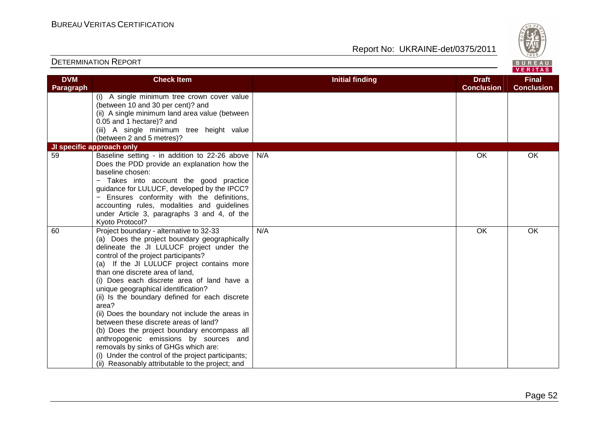Report No: UKRAINE-det/0375/2011



#### VERITAS **Check Item Initial finding Check Item Initial finding Check Item Initial finding Check Item Initial finding Check DVM Final Paragraph Conclusion Conclusion** (i) A single minimum tree crown cover value (between 10 and 30 per cent)? and (ii) A single minimum land area value (between 0.05 and 1 hectare)? and (iii) A single minimum tree height value (between 2 and 5 metres)? **JI specific approach only**  59 Baseline setting - in addition to 22-26 above N/A OK OK OK Does the PDD provide an explanation how the baseline chosen: − Takes into account the good practice guidance for LULUCF, developed by the IPCC? − Ensures conformity with the definitions, accounting rules, modalities and guidelines under Article 3, paragraphs 3 and 4, of the Kyoto Protocol? 60 Project boundary - alternative to 32-33 N/A OK OK OK (a) Does the project boundary geographically delineate the JI LULUCF project under the control of the project participants? (a) If the JI LULUCF project contains more than one discrete area of land, (i) Does each discrete area of land have a unique geographical identification? (ii) Is the boundary defined for each discrete area? (ii) Does the boundary not include the areas in between these discrete areas of land? (b) Does the project boundary encompass all anthropogenic emissions by sources and removals by sinks of GHGs which are: (i) Under the control of the project participants;(ii) Reasonably attributable to the project; and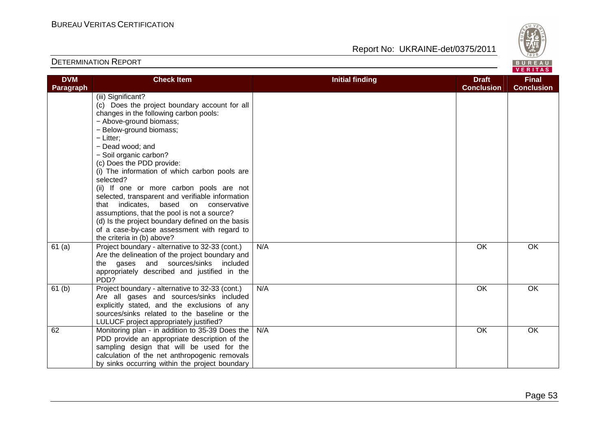

| <b>DVM</b> | <b>Check Item</b>                                | <b>Initial finding</b> | <b>Draft</b>      | <b>Final</b>      |
|------------|--------------------------------------------------|------------------------|-------------------|-------------------|
| Paragraph  |                                                  |                        | <b>Conclusion</b> | <b>Conclusion</b> |
|            | (iii) Significant?                               |                        |                   |                   |
|            | (c) Does the project boundary account for all    |                        |                   |                   |
|            | changes in the following carbon pools:           |                        |                   |                   |
|            | - Above-ground biomass;                          |                        |                   |                   |
|            | - Below-ground biomass;                          |                        |                   |                   |
|            | $-$ Litter:                                      |                        |                   |                   |
|            | - Dead wood; and                                 |                        |                   |                   |
|            | - Soil organic carbon?                           |                        |                   |                   |
|            | (c) Does the PDD provide:                        |                        |                   |                   |
|            | (i) The information of which carbon pools are    |                        |                   |                   |
|            | selected?                                        |                        |                   |                   |
|            | (ii) If one or more carbon pools are not         |                        |                   |                   |
|            | selected, transparent and verifiable information |                        |                   |                   |
|            | that indicates, based<br>on conservative         |                        |                   |                   |
|            | assumptions, that the pool is not a source?      |                        |                   |                   |
|            | (d) Is the project boundary defined on the basis |                        |                   |                   |
|            | of a case-by-case assessment with regard to      |                        |                   |                   |
|            | the criteria in (b) above?                       |                        |                   |                   |
| 61(a)      | Project boundary - alternative to 32-33 (cont.)  | N/A                    | OK                | OK                |
|            | Are the delineation of the project boundary and  |                        |                   |                   |
|            | the gases and sources/sinks included             |                        |                   |                   |
|            | appropriately described and justified in the     |                        |                   |                   |
|            | PD <sub>D</sub> ?                                |                        |                   |                   |
| 61(b)      | Project boundary - alternative to 32-33 (cont.)  | N/A                    | OK                | OK                |
|            | Are all gases and sources/sinks included         |                        |                   |                   |
|            | explicitly stated, and the exclusions of any     |                        |                   |                   |
|            | sources/sinks related to the baseline or the     |                        |                   |                   |
|            | LULUCF project appropriately justified?          |                        |                   |                   |
| 62         | Monitoring plan - in addition to 35-39 Does the  | N/A                    | OK                | OK                |
|            | PDD provide an appropriate description of the    |                        |                   |                   |
|            | sampling design that will be used for the        |                        |                   |                   |
|            | calculation of the net anthropogenic removals    |                        |                   |                   |
|            | by sinks occurring within the project boundary   |                        |                   |                   |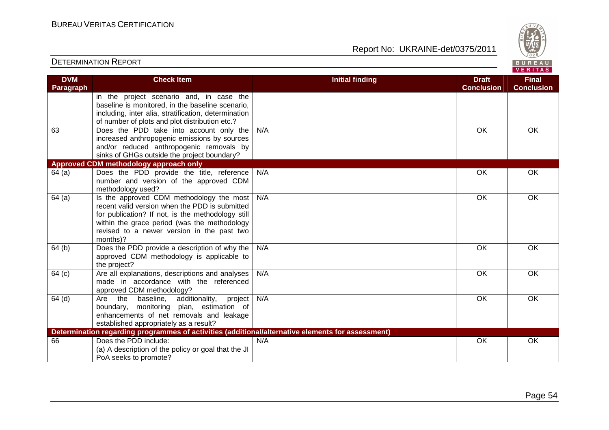

| <b>DVM</b>        | <b>Check Item</b>                                                                                 | <b>Initial finding</b> | <b>Draft</b>      | <b>Final</b>      |
|-------------------|---------------------------------------------------------------------------------------------------|------------------------|-------------------|-------------------|
| Paragraph         |                                                                                                   |                        | <b>Conclusion</b> | <b>Conclusion</b> |
|                   | in the project scenario and, in case the<br>baseline is monitored, in the baseline scenario,      |                        |                   |                   |
|                   | including, inter alia, stratification, determination                                              |                        |                   |                   |
|                   | of number of plots and plot distribution etc.?                                                    |                        |                   |                   |
| 63                | Does the PDD take into account only the                                                           | N/A                    | OK                | OK                |
|                   | increased anthropogenic emissions by sources                                                      |                        |                   |                   |
|                   | and/or reduced anthropogenic removals by                                                          |                        |                   |                   |
|                   | sinks of GHGs outside the project boundary?                                                       |                        |                   |                   |
|                   | Approved CDM methodology approach only                                                            |                        |                   |                   |
| 64(a)             | Does the PDD provide the title, reference                                                         | N/A                    | <b>OK</b>         | <b>OK</b>         |
|                   | number and version of the approved CDM                                                            |                        |                   |                   |
| 64(a)             | methodology used?<br>Is the approved CDM methodology the most                                     | N/A                    | OK                | OK                |
|                   | recent valid version when the PDD is submitted                                                    |                        |                   |                   |
|                   | for publication? If not, is the methodology still                                                 |                        |                   |                   |
|                   | within the grace period (was the methodology                                                      |                        |                   |                   |
|                   | revised to a newer version in the past two                                                        |                        |                   |                   |
|                   | months)?                                                                                          |                        |                   |                   |
| 64(b)             | Does the PDD provide a description of why the $ $                                                 | N/A                    | OK                | OK                |
|                   | approved CDM methodology is applicable to                                                         |                        |                   |                   |
|                   | the project?                                                                                      |                        |                   |                   |
| 64 <sub>(c)</sub> | Are all explanations, descriptions and analyses<br>made in accordance with the referenced         | N/A                    | OK                | OK                |
|                   | approved CDM methodology?                                                                         |                        |                   |                   |
| $64$ (d)          | Are the<br>additionality,<br>baseline,<br>project                                                 | N/A                    | OK                | OK                |
|                   | monitoring plan, estimation of<br>boundary,                                                       |                        |                   |                   |
|                   | enhancements of net removals and leakage                                                          |                        |                   |                   |
|                   | established appropriately as a result?                                                            |                        |                   |                   |
|                   | Determination regarding programmes of activities (additional/alternative elements for assessment) |                        |                   |                   |
| 66                | Does the PDD include:                                                                             | N/A                    | OK                | OK                |
|                   | (a) A description of the policy or goal that the JI                                               |                        |                   |                   |
|                   | PoA seeks to promote?                                                                             |                        |                   |                   |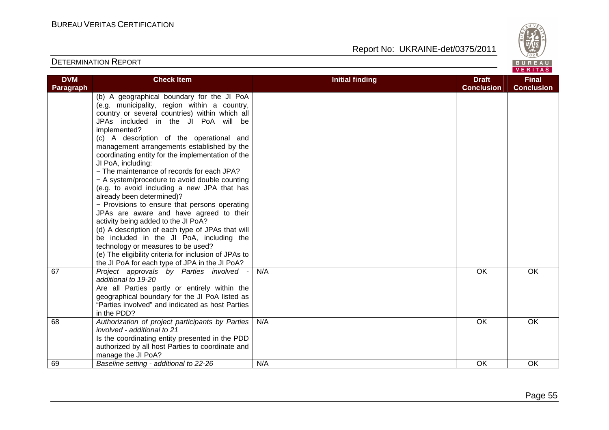

| <b>DVM</b><br>Paragraph | <b>Check Item</b>                                                                                                                                                                                                                                                                                                                                                                                                                                                                                                                                                                                                                                                                                                                                                                                                                                                                                                                       | <b>Initial finding</b> | <b>Draft</b><br><b>Conclusion</b> | <b>Final</b><br><b>Conclusion</b> |
|-------------------------|-----------------------------------------------------------------------------------------------------------------------------------------------------------------------------------------------------------------------------------------------------------------------------------------------------------------------------------------------------------------------------------------------------------------------------------------------------------------------------------------------------------------------------------------------------------------------------------------------------------------------------------------------------------------------------------------------------------------------------------------------------------------------------------------------------------------------------------------------------------------------------------------------------------------------------------------|------------------------|-----------------------------------|-----------------------------------|
|                         | (b) A geographical boundary for the JI PoA<br>(e.g. municipality, region within a country,<br>country or several countries) within which all<br>JPAs included in the JI PoA will be<br>implemented?<br>(c) A description of the operational and<br>management arrangements established by the<br>coordinating entity for the implementation of the<br>JI PoA, including:<br>- The maintenance of records for each JPA?<br>- A system/procedure to avoid double counting<br>(e.g. to avoid including a new JPA that has<br>already been determined)?<br>- Provisions to ensure that persons operating<br>JPAs are aware and have agreed to their<br>activity being added to the JI PoA?<br>(d) A description of each type of JPAs that will<br>be included in the JI PoA, including the<br>technology or measures to be used?<br>(e) The eligibility criteria for inclusion of JPAs to<br>the JI PoA for each type of JPA in the JI PoA? |                        |                                   |                                   |
| 67                      | Project approvals by Parties involved -<br>additional to 19-20<br>Are all Parties partly or entirely within the<br>geographical boundary for the JI PoA listed as<br>"Parties involved" and indicated as host Parties<br>in the PDD?                                                                                                                                                                                                                                                                                                                                                                                                                                                                                                                                                                                                                                                                                                    | N/A                    | $\overline{OK}$                   | <b>OK</b>                         |
| 68                      | Authorization of project participants by Parties<br>involved - additional to 21<br>Is the coordinating entity presented in the PDD<br>authorized by all host Parties to coordinate and<br>manage the JI PoA?                                                                                                                                                                                                                                                                                                                                                                                                                                                                                                                                                                                                                                                                                                                            | N/A                    | OK                                | OK                                |
| 69                      | Baseline setting - additional to 22-26                                                                                                                                                                                                                                                                                                                                                                                                                                                                                                                                                                                                                                                                                                                                                                                                                                                                                                  | N/A                    | OK                                | OK                                |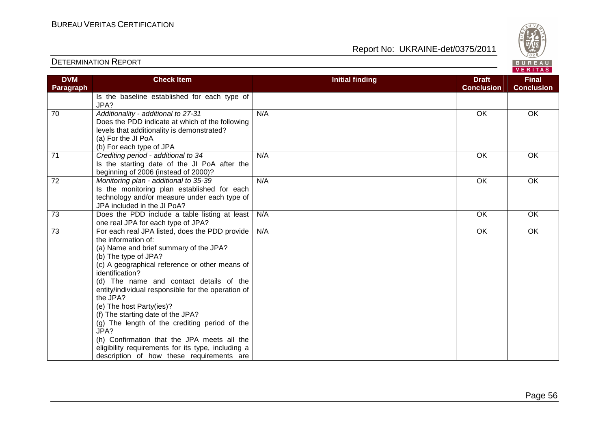

|                         |                                                                                                                                                                                                                                                                                                                                                                                                                                                                                                                                                                                                       |                        |                                   | VERITAS                           |
|-------------------------|-------------------------------------------------------------------------------------------------------------------------------------------------------------------------------------------------------------------------------------------------------------------------------------------------------------------------------------------------------------------------------------------------------------------------------------------------------------------------------------------------------------------------------------------------------------------------------------------------------|------------------------|-----------------------------------|-----------------------------------|
| <b>DVM</b><br>Paragraph | <b>Check Item</b>                                                                                                                                                                                                                                                                                                                                                                                                                                                                                                                                                                                     | <b>Initial finding</b> | <b>Draft</b><br><b>Conclusion</b> | <b>Final</b><br><b>Conclusion</b> |
|                         | Is the baseline established for each type of<br>JPA?                                                                                                                                                                                                                                                                                                                                                                                                                                                                                                                                                  |                        |                                   |                                   |
| $\overline{70}$         | Additionality - additional to 27-31<br>Does the PDD indicate at which of the following<br>levels that additionality is demonstrated?<br>(a) For the JI PoA<br>(b) For each type of JPA                                                                                                                                                                                                                                                                                                                                                                                                                | N/A                    | <b>OK</b>                         | OK                                |
| 71                      | Crediting period - additional to 34<br>Is the starting date of the JI PoA after the<br>beginning of 2006 (instead of 2000)?                                                                                                                                                                                                                                                                                                                                                                                                                                                                           | N/A                    | OK                                | OK                                |
| $\overline{72}$         | Monitoring plan - additional to 35-39<br>Is the monitoring plan established for each<br>technology and/or measure under each type of<br>JPA included in the JI PoA?                                                                                                                                                                                                                                                                                                                                                                                                                                   | N/A                    | OK                                | OK                                |
| $\overline{73}$         | Does the PDD include a table listing at least<br>one real JPA for each type of JPA?                                                                                                                                                                                                                                                                                                                                                                                                                                                                                                                   | N/A                    | OK                                | OK                                |
| $\overline{73}$         | For each real JPA listed, does the PDD provide<br>the information of:<br>(a) Name and brief summary of the JPA?<br>(b) The type of JPA?<br>(c) A geographical reference or other means of<br>identification?<br>(d) The name and contact details of the<br>entity/individual responsible for the operation of<br>the JPA?<br>(e) The host Party(ies)?<br>(f) The starting date of the JPA?<br>(g) The length of the crediting period of the<br>JPA?<br>(h) Confirmation that the JPA meets all the<br>eligibility requirements for its type, including a<br>description of how these requirements are | N/A                    | OK                                | OK                                |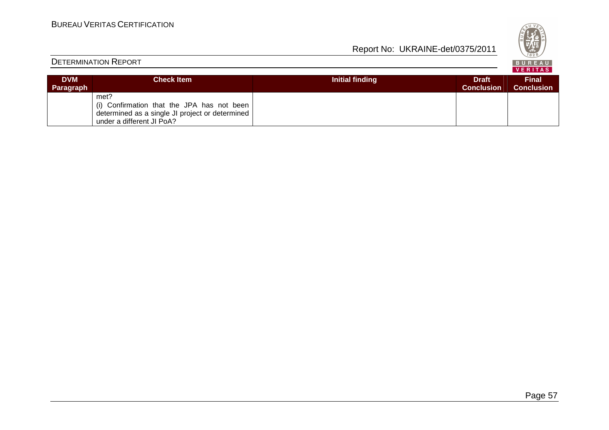

|  |  | , , , , , , , , , |  |  |    |  |
|--|--|-------------------|--|--|----|--|
|  |  |                   |  |  | m) |  |
|  |  |                   |  |  |    |  |

| <b>DVM</b> | Check Item                                                                                                                         | Initial finding | <b>Draft</b>      | <b>Final</b>      |
|------------|------------------------------------------------------------------------------------------------------------------------------------|-----------------|-------------------|-------------------|
| Paragraph  |                                                                                                                                    |                 | <b>Conclusion</b> | <b>Conclusion</b> |
|            | met?<br>(i) Confirmation that the JPA has not been<br>determined as a single JI project or determined<br>under a different JI PoA? |                 |                   |                   |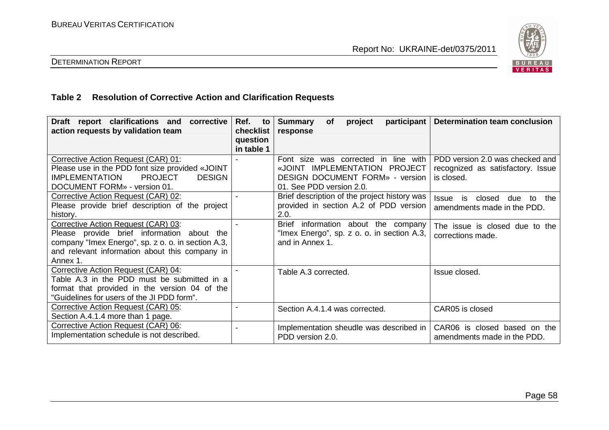

#### DETERMINATION REPORT

#### **Table 2 Resolution of Corrective Action and Clarification Requests**

| Draft report clarifications and<br>corrective<br>action requests by validation team                                                                                                                   | Ref.<br>to<br>checklist<br>question<br>in table 1 | participant<br><b>Summary</b><br><b>of</b><br>project<br>response                                                                           | Determination team conclusion                                                      |
|-------------------------------------------------------------------------------------------------------------------------------------------------------------------------------------------------------|---------------------------------------------------|---------------------------------------------------------------------------------------------------------------------------------------------|------------------------------------------------------------------------------------|
| Corrective Action Request (CAR) 01:<br>Please use in the PDD font size provided «JOINT<br><b>PROJECT</b><br><b>IMPLEMENTATION</b><br><b>DESIGN</b><br>DOCUMENT FORM» - version 01.                    |                                                   | Font size was corrected in line with<br>«JOINT IMPLEMENTATION PROJECT<br><b>DESIGN DOCUMENT FORM» - version</b><br>01. See PDD version 2.0. | PDD version 2.0 was checked and<br>recognized as satisfactory. Issue<br>is closed. |
| Corrective Action Request (CAR) 02:<br>Please provide brief description of the project<br>history.                                                                                                    |                                                   | Brief description of the project history was<br>provided in section A.2 of PDD version<br>2.0.                                              | closed<br><b>Issue</b><br>is<br>due<br>the<br>to<br>amendments made in the PDD.    |
| Corrective Action Request (CAR) 03:<br>Please provide brief information about the<br>company "Imex Energo", sp. z o. o. in section A.3,<br>and relevant information about this company in<br>Annex 1. |                                                   | <b>Brief</b><br>information about the company<br>"Imex Energo", sp. z o. o. in section A.3,<br>and in Annex 1.                              | The issue is closed due to the<br>corrections made.                                |
| Corrective Action Request (CAR) 04:<br>Table A.3 in the PDD must be submitted in a<br>format that provided in the version 04 of the<br>"Guidelines for users of the JI PDD form".                     |                                                   | Table A.3 corrected.                                                                                                                        | Issue closed.                                                                      |
| Corrective Action Request (CAR) 05:<br>Section A.4.1.4 more than 1 page.                                                                                                                              |                                                   | Section A.4.1.4 was corrected.                                                                                                              | CAR05 is closed                                                                    |
| Corrective Action Request (CAR) 06:<br>Implementation schedule is not described.                                                                                                                      |                                                   | Implementation sheudle was described in<br>PDD version 2.0.                                                                                 | CAR06 is closed based on the<br>amendments made in the PDD.                        |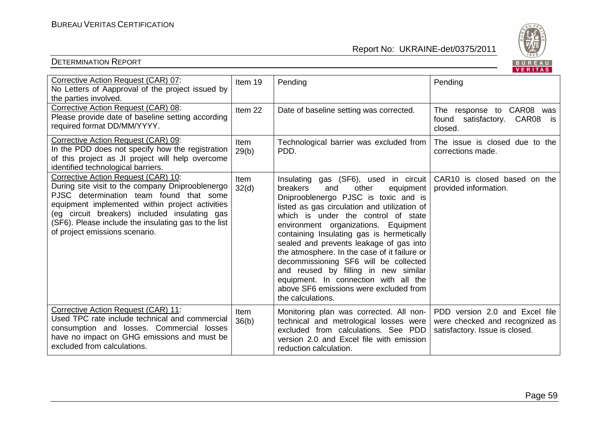

|                                                                                                                                                                                                                                                                                                                                  |                      |                                                                                                                                                                                                                                                                                                                                                                                                                                                                                                                                                                                        | <b>VERITAS</b>                                                                                     |
|----------------------------------------------------------------------------------------------------------------------------------------------------------------------------------------------------------------------------------------------------------------------------------------------------------------------------------|----------------------|----------------------------------------------------------------------------------------------------------------------------------------------------------------------------------------------------------------------------------------------------------------------------------------------------------------------------------------------------------------------------------------------------------------------------------------------------------------------------------------------------------------------------------------------------------------------------------------|----------------------------------------------------------------------------------------------------|
| Corrective Action Request (CAR) 07:<br>No Letters of Aapproval of the project issued by<br>the parties involved.                                                                                                                                                                                                                 | Item 19              | Pending                                                                                                                                                                                                                                                                                                                                                                                                                                                                                                                                                                                | Pending                                                                                            |
| Corrective Action Request (CAR) 08:<br>Please provide date of baseline setting according<br>required format DD/MM/YYYY.                                                                                                                                                                                                          | Item 22              | Date of baseline setting was corrected.                                                                                                                                                                                                                                                                                                                                                                                                                                                                                                                                                | The response to CAR08<br>was<br>found satisfactory. CAR08<br>is<br>closed.                         |
| Corrective Action Request (CAR) 09:<br>In the PDD does not specify how the registration<br>of this project as JI project will help overcome<br>identified technological barriers.                                                                                                                                                | Item<br>29(b)        | Technological barrier was excluded from<br>PDD.                                                                                                                                                                                                                                                                                                                                                                                                                                                                                                                                        | The issue is closed due to the<br>corrections made.                                                |
| Corrective Action Request (CAR) 10:<br>During site visit to the company Dniprooblenergo<br>PJSC determination team found that some<br>equipment implemented within project activities<br>(eg circuit breakers) included insulating gas<br>(SF6). Please include the insulating gas to the list<br>of project emissions scenario. | Item<br>32(d)        | Insulating gas (SF6), used in circuit<br>breakers<br>and<br>other<br>equipment<br>Dniprooblenergo PJSC is toxic and is<br>listed as gas circulation and utilization of<br>which is under the control of state<br>environment organizations. Equipment<br>containing Insulating gas is hermetically<br>sealed and prevents leakage of gas into<br>the atmosphere. In the case of it failure or<br>decommissioning SF6 will be collected<br>and reused by filling in new similar<br>equipment. In connection with all the<br>above SF6 emissions were excluded from<br>the calculations. | CAR10 is closed based on the<br>provided information.                                              |
| Corrective Action Request (CAR) 11:<br>Used TPC rate include technical and commercial<br>consumption and losses. Commercial losses<br>have no impact on GHG emissions and must be<br>excluded from calculations.                                                                                                                 | <b>Item</b><br>36(b) | Monitoring plan was corrected. All non-<br>technical and metrological losses were<br>excluded from calculations. See PDD<br>version 2.0 and Excel file with emission<br>reduction calculation.                                                                                                                                                                                                                                                                                                                                                                                         | PDD version 2.0 and Excel file<br>were checked and recognized as<br>satisfactory. Issue is closed. |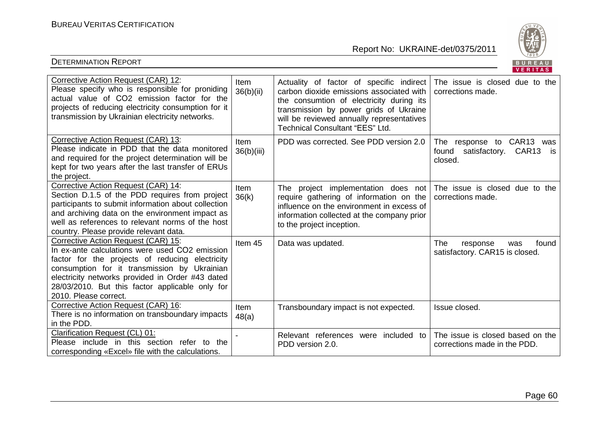

| Corrective Action Request (CAR) 12:<br>Please specify who is responsible for proniding<br>actual value of CO2 emission factor for the<br>projects of reducing electricity consumption for it<br>transmission by Ukrainian electricity networks.                                                                          | Item<br>36(b)(ii)         | Actuality of factor of specific indirect<br>carbon dioxide emissions associated with<br>the consumtion of electricity during its<br>transmission by power grids of Ukraine<br>will be reviewed annually representatives<br>Technical Consultant "EES" Ltd. | The issue is closed due to the<br>corrections made.                                        |
|--------------------------------------------------------------------------------------------------------------------------------------------------------------------------------------------------------------------------------------------------------------------------------------------------------------------------|---------------------------|------------------------------------------------------------------------------------------------------------------------------------------------------------------------------------------------------------------------------------------------------------|--------------------------------------------------------------------------------------------|
| Corrective Action Request (CAR) 13:<br>Please indicate in PDD that the data monitored<br>and required for the project determination will be<br>kept for two years after the last transfer of ERUs<br>the project.                                                                                                        | <b>Item</b><br>36(b)(iii) | PDD was corrected. See PDD version 2.0                                                                                                                                                                                                                     | The response to CAR13 was<br>satisfactory.<br>CAR <sub>13</sub><br>found<br>is.<br>closed. |
| Corrective Action Request (CAR) 14:<br>Section D.1.5 of the PDD requires from project<br>participants to submit information about collection<br>and archiving data on the environment impact as<br>well as references to relevant norms of the host<br>country. Please provide relevant data.                            | Item<br>36(k)             | The project implementation does not<br>require gathering of information on the<br>influence on the environment in excess of<br>information collected at the company prior<br>to the project inception.                                                     | The issue is closed due to the<br>corrections made.                                        |
| Corrective Action Request (CAR) 15:<br>In ex-ante calculations were used CO2 emission<br>factor for the projects of reducing electricity<br>consumption for it transmission by Ukrainian<br>electricity networks provided in Order #43 dated<br>28/03/2010. But this factor applicable only for<br>2010. Please correct. | Item 45                   | Data was updated.                                                                                                                                                                                                                                          | The<br>found<br>response<br>was<br>satisfactory. CAR15 is closed.                          |
| Corrective Action Request (CAR) 16:<br>There is no information on transboundary impacts<br>in the PDD.                                                                                                                                                                                                                   | Item<br>48(a)             | Transboundary impact is not expected.                                                                                                                                                                                                                      | Issue closed.                                                                              |
| Clarification Request (CL) 01:<br>Please include in this section refer to the<br>corresponding «Excel» file with the calculations.                                                                                                                                                                                       |                           | Relevant references were included to<br>PDD version 2.0.                                                                                                                                                                                                   | The issue is closed based on the<br>corrections made in the PDD.                           |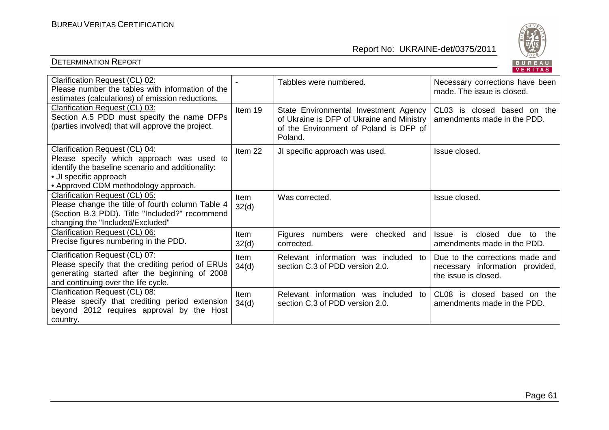

| Clarification Request (CL) 02:<br>Please number the tables with information of the<br>estimates (calculations) of emission reductions.                                                             |                      | Tabbles were numbered.                                                                                                                  | Necessary corrections have been<br>made. The issue is closed.                              |
|----------------------------------------------------------------------------------------------------------------------------------------------------------------------------------------------------|----------------------|-----------------------------------------------------------------------------------------------------------------------------------------|--------------------------------------------------------------------------------------------|
| Clarification Request (CL) 03:<br>Section A.5 PDD must specify the name DFPs<br>(parties involved) that will approve the project.                                                                  | Item 19              | State Environmental Investment Agency<br>of Ukraine is DFP of Ukraine and Ministry<br>of the Environment of Poland is DFP of<br>Poland. | CL03 is closed based on the<br>amendments made in the PDD.                                 |
| Clarification Request (CL) 04:<br>Please specify which approach was used to<br>identify the baseline scenario and additionality:<br>• JI specific approach<br>• Approved CDM methodology approach. | Item 22              | JI specific approach was used.                                                                                                          | Issue closed.                                                                              |
| Clarification Request (CL) 05:<br>Please change the title of fourth column Table 4<br>(Section B.3 PDD). Title "Included?" recommend<br>changing the "Included/Excluded"                           | Item<br>32(d)        | Was corrected.                                                                                                                          | Issue closed.                                                                              |
| Clarification Request (CL) 06:<br>Precise figures numbering in the PDD.                                                                                                                            | <b>Item</b><br>32(d) | Figures numbers were<br>checked<br>and<br>corrected.                                                                                    | closed<br>the<br><b>Issue</b><br>is<br>due<br>to<br>amendments made in the PDD.            |
| Clarification Request (CL) 07:<br>Please specify that the crediting period of ERUs<br>generating started after the beginning of 2008<br>and continuing over the life cycle.                        | Item<br>34(d)        | Relevant information was included to<br>section C.3 of PDD version 2.0.                                                                 | Due to the corrections made and<br>necessary information provided,<br>the issue is closed. |
| Clarification Request (CL) 08:<br>Please specify that crediting period extension<br>beyond 2012 requires approval by the Host<br>country.                                                          | <b>Item</b><br>34(d) | Relevant information was included<br>to<br>section C.3 of PDD version 2.0.                                                              | CL <sub>08</sub><br>is closed based on the<br>amendments made in the PDD.                  |